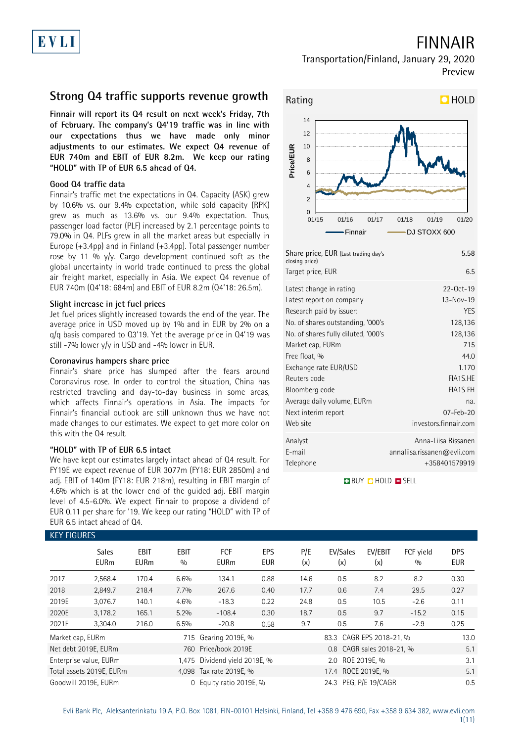# FINNAIR

## Transportation/Finland, January 29, 2020 Preview

## **Strong Q4 traffic supports revenue growth**

**Finnair will report its Q4 result on next week's Friday, 7th of February. The company's Q4'19 traffic was in line with our expectations thus we have made only minor adjustments to our estimates. We expect Q4 revenue of EUR 740m and EBIT of EUR 8.2m. We keep our rating "HOLD" with TP of EUR 6.5 ahead of Q4.**

## **Good Q4 traffic data**

Finnair's traffic met the expectations in Q4. Capacity (ASK) grew by 10.6% vs. our 9.4% expectation, while sold capacity (RPK) grew as much as 13.6% vs. our 9.4% expectation. Thus, passenger load factor (PLF) increased by 2.1 percentage points to 79.0% in Q4. PLFs grew in all the market areas but especially in Europe (+3.4pp) and in Finland (+3.4pp). Total passenger number rose by 11 %  $y/y$ . Cargo development continued soft as the global uncertainty in world trade continued to press the global air freight market, especially in Asia. We expect Q4 revenue of EUR 740m (Q4'18: 684m) and EBIT of EUR 8.2m (Q4'18: 26.5m).

### **Slight increase in jet fuel prices**

Jet fuel prices slightly increased towards the end of the year. The average price in USD moved up by 1% and in EUR by 2% on a q/q basis compared to Q3'19. Yet the average price in Q4'19 was still -7% lower  $y/y$  in USD and -4% lower in EUR.

### **Coronavirus hampers share price**

Finnair's share price has slumped after the fears around Coronavirus rose. In order to control the situation, China has restricted traveling and day-to-day business in some areas, which affects Finnair's operations in Asia. The impacts for Finnair's financial outlook are still unknown thus we have not made changes to our estimates. We expect to get more color on this with the Q4 result.

## **"HOLD" with TP of EUR 6.5 intact**

We have kept our estimates largely intact ahead of Q4 result. For FY19E we expect revenue of EUR 3077m (FY18: EUR 2850m) and adj. EBIT of 140m (FY18: EUR 218m), resulting in EBIT margin of 4.6% which is at the lower end of the guided adj. EBIT margin level of 4.5-6.0%. We expect Finnair to propose a dividend of EUR 0.11 per share for '19. We keep our rating "HOLD" with TP of EUR 6.5 intact ahead of Q4.

## Rating **HOLD**  $0 \vdash$ <br> $01/15$  $\overline{2}$ 4 6 8 10 12 14 01/15 01/16 01/17 01/18 01/19 01/20 **Price/EUR** Finnair **- DJ STOXX 600**

| Share price, EUR (Last trading day's<br>closing price) | 5.58                        |
|--------------------------------------------------------|-----------------------------|
| Target price, EUR                                      | 6.5                         |
| Latest change in rating                                | $22-0ct-19$                 |
| Latest report on company                               | $13 - Nov - 19$             |
| Research paid by issuer:                               | <b>YES</b>                  |
| No. of shares outstanding, '000's                      | 128,136                     |
| No. of shares fully diluted, '000's                    | 128,136                     |
| Market cap, EURm                                       | 715                         |
| Free float, %                                          | 44.0                        |
| Exchange rate EUR/USD                                  | 1.170                       |
| Reuters code                                           | FIA1S.HE                    |
| Bloomberg code                                         | <b>FIA1S FH</b>             |
| Average daily volume, EURm                             | na.                         |
| Next interim report                                    | 07-Feb-20                   |
| Web site                                               | investors.finnair.com       |
| Analyst                                                | Anna-Liisa Rissanen         |
| E-mail                                                 | annaliisa.rissanen@evli.com |
| Telephone                                              | +358401579919               |

**BUY DHOLD SELL** 

| <b>KEY FIGURES</b> |                             |                            |                    |                               |                   |            |                       |                           |                  |                   |
|--------------------|-----------------------------|----------------------------|--------------------|-------------------------------|-------------------|------------|-----------------------|---------------------------|------------------|-------------------|
|                    | <b>Sales</b><br><b>EURm</b> | <b>EBIT</b><br><b>EURm</b> | <b>EBIT</b><br>0/0 | <b>FCF</b><br><b>EURm</b>     | EPS<br><b>EUR</b> | P/E<br>(x) | EV/Sales<br>(x)       | EV/EBIT<br>(x)            | FCF yield<br>0/0 | <b>DPS</b><br>EUR |
| 2017               | 2,568.4                     | 170.4                      | 6.6%               | 134.1                         | 0.88              | 14.6       | 0.5                   | 8.2                       | 8.2              | 0.30              |
| 2018               | 2,849.7                     | 218.4                      | 7.7%               | 267.6                         | 0.40              | 17.7       | 0.6                   | 7.4                       | 29.5             | 0.27              |
| 2019E              | 3,076.7                     | 140.1                      | 4.6%               | $-18.3$                       | 0.22              | 24.8       | 0.5                   | 10.5                      | $-2.6$           | 0.11              |
| 2020E              | 3,178.2                     | 165.1                      | 5.2%               | $-108.4$                      | 0.30              | 18.7       | 0.5                   | 9.7                       | $-15.2$          | 0.15              |
| 2021E              | 3.304.0                     | 216.0                      | 6.5%               | $-20.8$                       | 0.58              | 9.7        | 0.5                   | 7.6                       | $-2.9$           | 0.25              |
| Market cap, EURm   |                             |                            |                    | 715 Gearing 2019E, %          |                   |            | 13.0                  |                           |                  |                   |
|                    | Net debt 2019E, EURm        |                            |                    | 760 Price/book 2019E          |                   |            |                       | 0.8 CAGR sales 2018-21, % |                  | 5.1               |
|                    | Enterprise value, EURm      |                            |                    | 1,475 Dividend yield 2019E, % |                   |            | 2.0 ROE 2019E, %      |                           |                  | 3.1               |
|                    | Total assets 2019E, EURm    |                            |                    | 4,098 Tax rate 2019E, %       |                   |            |                       | 5.1                       |                  |                   |
|                    | Goodwill 2019E, EURm        |                            | 0                  | Equity ratio 2019E, %         |                   |            | 24.3 PEG, P/E 19/CAGR | 0.5                       |                  |                   |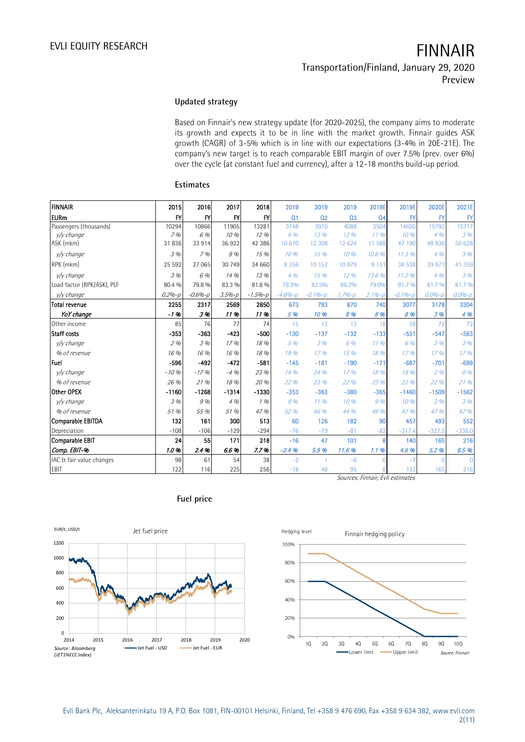## **Updated strategy**

Based on Finnair's new strategy update (for 2020-2025), the company aims to moderate its growth and expects it to be in line with the market growth. Finnair guides ASK growth (CAGR) of 3-5% which is in line with our expectations (3-4% in 20E-21E). The company's new target is to reach comparable EBIT margin of over 7.5% (prev. over 6%) over the cycle (at constant fuel and currency), after a 12-18 months build-up period.

| <b>FINNAIR</b>             | 2015         | 2016         | 2017       | 2018         | 2019           | 2019           | 2019           | 2019E                                                    | 2019E        | 2020E        | 2021E        |
|----------------------------|--------------|--------------|------------|--------------|----------------|----------------|----------------|----------------------------------------------------------|--------------|--------------|--------------|
| <b>EURm</b>                | $\mathsf{F}$ | $\mathsf{F}$ | F'         | $\mathsf{F}$ | Q <sub>1</sub> | Q <sub>2</sub> | Q <sub>3</sub> | Q <sub>4</sub>                                           | $\mathsf{F}$ | $\mathsf{F}$ | $\mathsf{F}$ |
| Passengers (thousands)     | 10294        | 10866        | 11905      | 13281        | 3148           | 3910           | 4088           | 3504                                                     | 14650        | 15192        | 15717        |
| v/y change                 | 7%           | 6 %          | 10%        | 12%          | 4%             | 13%            | 12.96          | 11.96                                                    | 10%          | 4%           | 396          |
| ASK (mkm)                  | 31836        | 33 914       | 36922      | 42 38 6      | 10 670         | 12 308         | 12 624         | 11 588                                                   | 47 190       | 48 936       | 50 628       |
| y/y change                 | 3%           | 7%           | 9 %        | 15 %         | 10%            | 15%            | 10%            | 10.6%                                                    | 11.3%        | 4%           | 3%           |
| RPK (mkm)                  | 25 5 92      | 27 065       | 30 749     | 34 660       | 8 3 5 6        | 10 152         | 10879          | 9 1 5 1                                                  | 38 538       | 39 971       | 41 359       |
| v/v change                 | 3%           | 6 %          | 14 %       | 13.96        | 4%             | 15%            | 12.96          | 13.6%                                                    | 11.2%        | 4%           | 3%           |
| Load factor (RPK/ASK), PLF | 80.4 %       | 79.8 %       | 83.3 %     | 81.8%        | 78.3%          | 82.5%          | 86.2%          | 79.0%                                                    | 81.7%        | 81.7 %       | 81.7 %       |
| v/v change                 | $0.2% - p$   | $-0.6% - p$  | $3.5% - p$ | $-1.5% - p$  | $-4.6% - p$    | $-0.1% - p$    | $1.7% - p$     | $2.1%-p$                                                 | $-0.1% - p$  | $0.0% - p$   | $0.0% - p$   |
| <b>Total revenue</b>       | 2255         | 2317         | 2569       | 2850         | 673            | 793            | 870            | 740                                                      | 3077         | 3178         | 3304         |
| YoY change                 | -1 %         | 3%           | 11%        | 11%          | 5 %            | 10 %           | 8 %            | 8 %                                                      | 8%           | 3 %          | 4 %          |
| Other income               | 85           | 76           | 77         | 74           | 15             | 13             | 13             | 18                                                       | 59           | 72           | 72           |
| Staff costs                | $-353$       | $-363$       | $-423$     | $-500$       | $-130$         | $-137$         | $-132$         | $-133$                                                   | $-531$       | $-547$       | $-563$       |
| v/v change                 | 2%           | 3 %          | 17 %       | 18 %         | 5%             | 3%             | 6 %            | 11.96                                                    | 6 %          | 3%           | 3%           |
| % of revenue               | 16 %         | 16 %         | 16 %       | 18 %         | 19 %           | 17%            | 15%            | 18 %                                                     | 17%          | 17%          | 17%          |
| Fuel                       | $-596$       | $-492$       | $-472$     | $-581$       | $-145$         | $-181$         | $-190$         | $-171$                                                   | $-687$       | $-701$       | $-699$       |
| v/v change                 | $-10%$       | $-17%$       | $-4%$      | 23 %         | 14 %           | 24 %           | 17%            | 18 %                                                     | 18 %         | 296          | 0%           |
| % of revenue               | 26 %         | 21%          | 18 %       | 20 %         | 22 %           | 23 %           | 22 %           | 23 %                                                     | 22 %         | 22 %         | 21%          |
| Other OPEX                 | $-1160$      | $-1268$      | $-1314$    | $-1330$      | $-353$         | $-363$         | $-380$         | $-365$                                                   | $-1460$      | $-1509$      | $-1562$      |
| v/v change                 | 3 %          | 9 %          | 4%         | 1%           | 9%             | 11.96          | 10 %           | 9%                                                       | 10 %         | 3%           | 3%           |
| % of revenue               | 51 %         | 55 %         | 51 %       | 47 %         | 52 %           | 46 %           | 44 %           | 49 %                                                     | 47 %         | 47 %         | 47 %         |
| Comparable EBITDA          | 132          | 161          | 300        | 513          | 60             | 126            | 182            | 90                                                       | 457          | 493          | 552          |
| Depreciation               | $-108$       | $-106$       | $-129$     | $-294$       | $-76$          | $-79$          | $-81$          | $-82$                                                    | $-317.4$     | $-327.5$     | $-336.0$     |
| <b>Comparable EBIT</b>     | 24           | 55           | 171        | 218          | $-16$          | 47             | 101            | $\mathbf{R}$                                             | 140          | 165          | 216          |
| Comp. EBIT-%               | 1.0%         | 2.4%         | 6.6%       | 7.7%         | $-2.4%$        | 5.9%           | 11.6%          | 1.1%                                                     | 4.6%         | 5.2%         | 6.5%         |
| IAC & fair value changes   | 98           | 61           | 54         | 38           | $-2$           | 1              | $-6$           |                                                          | -7           | O            |              |
| EBIT                       | 122          | 116          | 225        | 256          | $-18$          | 48             | 95<br>$\sim$   | $\overline{r}$<br>$\mathbf{r}$ $\mathbf{r}$ $\mathbf{r}$ | 133          | 165          | 216          |

### **Estimates**

Sources: Finnair, Evli estimates



## **Fuel price**

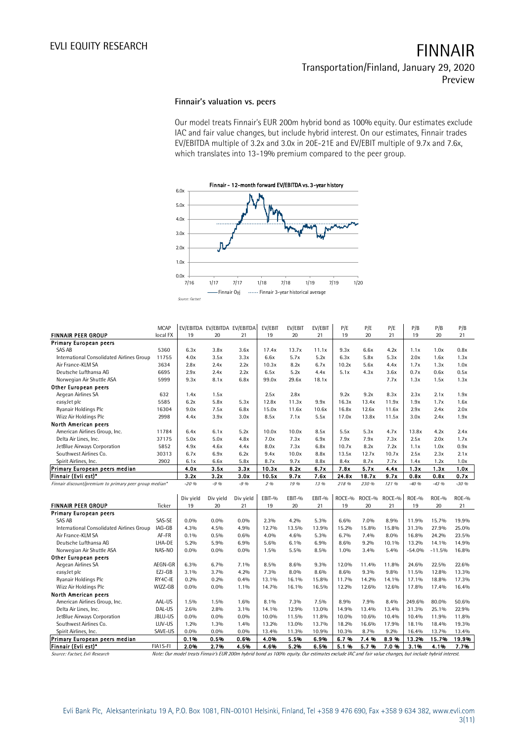## **Finnair's valuation vs. peers**

Our model treats Finnair's EUR 200m hybrid bond as 100% equity. Our estimates exclude IAC and fair value changes, but include hybrid interest. On our estimates, Finnair trades EV/EBITDA multiple of 3.2x and 3.0x in 20E-21E and EV/EBIT multiple of 9.7x and 7.6x, which translates into 13-19% premium compared to the peer group.



| EV/EBIT<br><b>MCAP</b><br>EV/EBITDA EV/EBITDA EV/EBITDA<br>EV/EBIT<br>EV/EBIT<br>P/E<br>P/E<br>P/E<br>P/B<br>P/B<br>P/B<br><b>FINNAIR PEER GROUP</b><br>local FX<br>19<br>20<br>19<br>20<br>21<br>19<br>20<br>21<br>19<br>20<br>21<br>21<br><b>Primary European peers</b><br>SAS AB<br>5360<br>6.3x<br>3.8x<br>3.6x<br>17.4x<br>13.7x<br>11.1x<br>9.3x<br>6.6x<br>4.2x<br>1.1x<br>1.0x<br>0.8x<br>International Consolidated Airlines Group<br>11755<br>4.0x<br>3.5x<br>3.3x<br>6.6x<br>5.7x<br>5.2x<br>6.3x<br>5.3x<br>2.0x<br>1.6x<br>5.8x<br>1.3x<br>Air France-KLM SA<br>3634<br>2.8x<br>2.4x<br>2.2x<br>10.3x<br>8.2x<br>6.7x<br>10.2x<br>1.7x<br>1.0x<br>5.6x<br>4.4x<br>1.3x<br>Deutsche Lufthansa AG<br>6695<br>2.9x<br>2.2x<br>6.5x<br>5.2x<br>5.1x<br>0.7x<br>0.5x<br>2.4x<br>4.4x<br>4.3x<br>3.6x<br>0.6x<br>Norwegian Air Shuttle ASA<br>5999<br>9.3x<br>8.1x<br>6.8x<br>99.0x<br>29.6x<br>18.1x<br>7.7x<br>1.3x<br>1.5x<br>1.3x<br>Other European peers<br>Aegean Airlines SA<br>9.2x<br>9.2x<br>632<br>1.4x<br>1.5x<br>2.5x<br>2.8x<br>8.3x<br>2.3x<br>2.1x<br>1.9x<br>5585<br>6.2x<br>12.8x<br>11.3x<br>16.3x<br>1.9x<br>1.7x<br>easyJet plc<br>5.8x<br>5.3x<br>9.9x<br>13.4x<br>11.9x<br>1.6x<br>Ryanair Holdings Plc<br>15.0x<br>11.6x<br>16.8x<br>2.9x<br>2.4x<br>16304<br>9.0x<br>7.5x<br>6.8x<br>10.6x<br>12.6x<br>11.6x<br>2.0x<br>Wizz Air Holdings Plc<br>2998<br>3.9x<br>7.1x<br>4.4x<br>3.0x<br>8.5x<br>5.5x<br>17.0x<br>13.8x<br>11.5x<br>3.0x<br>2.4x<br>1.9x<br>North American peers<br>American Airlines Group, Inc.<br>4.2x<br>6.4x<br>6.1x<br>5.2x<br>10.0x<br>10.0x<br>8.5x<br>5.5x<br>5.3x<br>4.7x<br>13.8x<br>2.4x<br>11784<br>Delta Air Lines, Inc.<br>37175<br>5.0x<br>5.0x<br>4.8x<br>7.0x<br>7.3x<br>6.9x<br>7.9x<br>7.9x<br>7.3x<br>2.5x<br>2.0x<br>1.7x<br>JetBlue Airways Corporation<br>5852<br>4.9x<br>4.4x<br>8.0x<br>7.3x<br>10.7x<br>8.2x<br>7.2x<br>0.9x<br>4.6x<br>6.8x<br>1.1x<br>1.0x<br>Southwest Airlines Co.<br>30313<br>6.7x<br>6.9x<br>6.2x<br>9.4x<br>10.0x<br>8.8x<br>13.5x<br>12.7x<br>10.7x<br>2.5x<br>2.3x<br>2.1x<br>Spirit Airlines, Inc.<br>2902<br>6.1x<br>6.6x<br>5.8x<br>8.7x<br>9.7x<br>8.8x<br>8.4x<br>8.7x<br>7.7x<br>1.4x<br>1.2x<br>1.0x<br>Primary European peers median<br>4.0x<br>3.5x<br>8.2x<br>6.7x<br>7.8x<br>5.7x<br>1.3x<br>1.3x<br>3.3x<br>10.3x<br>4.4x<br>1.0x<br>Finnair (Evli est)*<br>3.2x<br>3.2x<br>3.0x<br>9.7x<br>7.6x<br>24.8x<br>18.7x<br>9.7x<br>0.8x<br>0.8x<br>0.7x<br>10.5x<br>$-9.96$<br>19%<br>Finnair discount/premium to primary peer group median*<br>$-20.96$<br>$-9.96$<br>2 %<br>13 %<br>218 %<br>230 %<br>121 %<br>$-40.96$<br>$-43.96$<br>$-30%$<br>Div yield<br>Div yield<br>Div yield<br>EBIT-%<br>EBIT-%<br>EBIT-%<br>ROCE-%<br>ROCE-%<br>ROCE-%<br>$ROE-9$<br><b>ROE-%</b><br><b>ROE-%</b><br><b>FINNAIR PEER GROUP</b><br>21<br>19<br>21<br>Ticker<br>19<br>20<br>21<br>19<br>20<br>19<br>20<br>21<br>20<br><b>Primary European peers</b><br><b>SAS AB</b><br>SAS-SE<br>$0.0\%$<br>$0.0\%$<br>0.0%<br>$2.3\%$<br>4.2%<br>5.3%<br>6.6%<br>7.0%<br>8.9%<br>11.9%<br>15.7%<br>19.9%<br>International Consolidated Airlines Group<br>IAG-GB<br>4.5%<br>15.8%<br>31.3%<br>27.9%<br>4.3%<br>4.9%<br>12.7%<br>13.5%<br>13.9%<br>15.2%<br>15.8%<br>25.0%<br>Air France-KLM SA<br>AF-FR<br>7.4%<br>16.8%<br>24.2%<br>0.1%<br>0.5%<br>0.6%<br>4.0%<br>4.6%<br>5.3%<br>6.7%<br>8.0%<br>23.5%<br>Deutsche Lufthansa AG<br>13.2%<br>LHA-DE<br>5.2%<br>5.9%<br>6.9%<br>5.6%<br>6.1%<br>6.9%<br>8.6%<br>9.2%<br>10.1%<br>14.1%<br>14.9%<br>Norwegian Air Shuttle ASA<br>NAS-NO<br>$0.0\%$<br>$0.0\%$<br>0.0%<br>5.5%<br>8.5%<br>1.0%<br>3.4%<br>5.4%<br>$-54.0%$<br>$-11.5%$<br>16.8%<br>1.5%<br>Other European peers<br>Aegean Airlines SA<br>AEGN-GR<br>24.6%<br>22.5%<br>6.3%<br>6.7%<br>7.1%<br>8.5%<br>8.6%<br>9.3%<br>12.0%<br>11.4%<br>11.8%<br>22.6%<br>EZJ-GB<br>$3.1\%$<br>7.3%<br>9.3%<br>easyJet plc<br>3.7%<br>4.2%<br>8.0%<br>8.6%<br>8.6%<br>9.8%<br>11.5%<br>12.8%<br>13.3%<br>RY4C-IE<br>Ryanair Holdings Plc<br>0.2%<br>0.2%<br>0.4%<br>13.1%<br>16.1%<br>15.8%<br>11.7%<br>14.2%<br>14.1%<br>17.1%<br>18.8%<br>17.3%<br>Wizz Air Holdings Plc<br>WIZZ-GB<br>0.0%<br>$0.0\%$<br>1.1%<br>14.7%<br>16.1%<br>16.5%<br>12.2%<br>12.6%<br>17.8%<br>17.4%<br>16.4%<br>12.6%<br>North American peers<br>AAL-US<br>American Airlines Group, Inc.<br>1.5%<br>1.5%<br>1.6%<br>8.1%<br>7.3%<br>7.5%<br>8.9%<br>7.9%<br>8.4%<br>249.6%<br>80.0%<br>50.6%<br>Delta Air Lines, Inc.<br>DAL-US<br>2.6%<br>2.8%<br>3.1%<br>14.1%<br>12.9%<br>13.0%<br>14.9%<br>13.4%<br>31.3%<br>25.1%<br>22.9%<br>13.4%<br>JBLU-US<br>$0.0\%$<br>0.0%<br>11.5%<br>10.0%<br>10.4%<br>10.4%<br>JetBlue Airways Corporation<br>$0.0\%$<br>10.0%<br>11.8%<br>10.6%<br>11.9%<br>11.8%<br>LUV-US<br>18.1%<br>Southwest Airlines Co.<br>1.2%<br>1.3%<br>1.4%<br>13.2%<br>13.0%<br>13.7%<br>18.2%<br>16.6%<br>17.9%<br>18.4%<br>19.3%<br>Spirit Airlines, Inc.<br>SAVE-US<br>10.9%<br>8.7%<br>9.2%<br>16.4%<br>0.0%<br>0.0%<br>0.0%<br>13.4%<br>11.3%<br>10.3%<br>13.7%<br>13.4%<br>Primary European peers median<br>0.1%<br>0.5%<br>0.6%<br>4.0%<br>5.5%<br>6.9%<br>6.7%<br>7.4%<br>8.9%<br>13.2%<br>15.7%<br>19.9% |                     |          |                 | – Finnair Oyj |      |      | Finnair 3-year historical average |      |      |      |      |      |      |      |
|-------------------------------------------------------------------------------------------------------------------------------------------------------------------------------------------------------------------------------------------------------------------------------------------------------------------------------------------------------------------------------------------------------------------------------------------------------------------------------------------------------------------------------------------------------------------------------------------------------------------------------------------------------------------------------------------------------------------------------------------------------------------------------------------------------------------------------------------------------------------------------------------------------------------------------------------------------------------------------------------------------------------------------------------------------------------------------------------------------------------------------------------------------------------------------------------------------------------------------------------------------------------------------------------------------------------------------------------------------------------------------------------------------------------------------------------------------------------------------------------------------------------------------------------------------------------------------------------------------------------------------------------------------------------------------------------------------------------------------------------------------------------------------------------------------------------------------------------------------------------------------------------------------------------------------------------------------------------------------------------------------------------------------------------------------------------------------------------------------------------------------------------------------------------------------------------------------------------------------------------------------------------------------------------------------------------------------------------------------------------------------------------------------------------------------------------------------------------------------------------------------------------------------------------------------------------------------------------------------------------------------------------------------------------------------------------------------------------------------------------------------------------------------------------------------------------------------------------------------------------------------------------------------------------------------------------------------------------------------------------------------------------------------------------------------------------------------------------------------------------------------------------------------------------------------------------------------------------------------------------------------------------------------------------------------------------------------------------------------------------------------------------------------------------------------------------------------------------------------------------------------------------------------------------------------------------------------------------------------------------------------------------------------------------------------------------------------------------------------------------------------------------------------------------------------------------------------------------------------------------------------------------------------------------------------------------------------------------------------------------------------------------------------------------------------------------------------------------------------------------------------------------------------------------------------------------------------------------------------------------------------------------------------------------------------------------------------------------------------------------------------------------------------------------------------------------------------------------------------------------------------------------------------------------------------------------------------------------------------------------------------------------------------------------------------------------------------------------------------------------------------------------------------------------------------------------------------------------------------------------------------------------------------------------------------------------------------------------------------------------------------------------------------------------------------------------------------------------------------------------------------------------------------------------------------------------------|---------------------|----------|-----------------|---------------|------|------|-----------------------------------|------|------|------|------|------|------|------|
|                                                                                                                                                                                                                                                                                                                                                                                                                                                                                                                                                                                                                                                                                                                                                                                                                                                                                                                                                                                                                                                                                                                                                                                                                                                                                                                                                                                                                                                                                                                                                                                                                                                                                                                                                                                                                                                                                                                                                                                                                                                                                                                                                                                                                                                                                                                                                                                                                                                                                                                                                                                                                                                                                                                                                                                                                                                                                                                                                                                                                                                                                                                                                                                                                                                                                                                                                                                                                                                                                                                                                                                                                                                                                                                                                                                                                                                                                                                                                                                                                                                                                                                                                                                                                                                                                                                                                                                                                                                                                                                                                                                                                                                                                                                                                                                                                                                                                                                                                                                                                                                                                                                                                                                                 |                     |          | Source: Factset |               |      |      |                                   |      |      |      |      |      |      |      |
|                                                                                                                                                                                                                                                                                                                                                                                                                                                                                                                                                                                                                                                                                                                                                                                                                                                                                                                                                                                                                                                                                                                                                                                                                                                                                                                                                                                                                                                                                                                                                                                                                                                                                                                                                                                                                                                                                                                                                                                                                                                                                                                                                                                                                                                                                                                                                                                                                                                                                                                                                                                                                                                                                                                                                                                                                                                                                                                                                                                                                                                                                                                                                                                                                                                                                                                                                                                                                                                                                                                                                                                                                                                                                                                                                                                                                                                                                                                                                                                                                                                                                                                                                                                                                                                                                                                                                                                                                                                                                                                                                                                                                                                                                                                                                                                                                                                                                                                                                                                                                                                                                                                                                                                                 |                     |          |                 |               |      |      |                                   |      |      |      |      |      |      |      |
|                                                                                                                                                                                                                                                                                                                                                                                                                                                                                                                                                                                                                                                                                                                                                                                                                                                                                                                                                                                                                                                                                                                                                                                                                                                                                                                                                                                                                                                                                                                                                                                                                                                                                                                                                                                                                                                                                                                                                                                                                                                                                                                                                                                                                                                                                                                                                                                                                                                                                                                                                                                                                                                                                                                                                                                                                                                                                                                                                                                                                                                                                                                                                                                                                                                                                                                                                                                                                                                                                                                                                                                                                                                                                                                                                                                                                                                                                                                                                                                                                                                                                                                                                                                                                                                                                                                                                                                                                                                                                                                                                                                                                                                                                                                                                                                                                                                                                                                                                                                                                                                                                                                                                                                                 |                     |          |                 |               |      |      |                                   |      |      |      |      |      |      |      |
|                                                                                                                                                                                                                                                                                                                                                                                                                                                                                                                                                                                                                                                                                                                                                                                                                                                                                                                                                                                                                                                                                                                                                                                                                                                                                                                                                                                                                                                                                                                                                                                                                                                                                                                                                                                                                                                                                                                                                                                                                                                                                                                                                                                                                                                                                                                                                                                                                                                                                                                                                                                                                                                                                                                                                                                                                                                                                                                                                                                                                                                                                                                                                                                                                                                                                                                                                                                                                                                                                                                                                                                                                                                                                                                                                                                                                                                                                                                                                                                                                                                                                                                                                                                                                                                                                                                                                                                                                                                                                                                                                                                                                                                                                                                                                                                                                                                                                                                                                                                                                                                                                                                                                                                                 |                     |          |                 |               |      |      |                                   |      |      |      |      |      |      |      |
|                                                                                                                                                                                                                                                                                                                                                                                                                                                                                                                                                                                                                                                                                                                                                                                                                                                                                                                                                                                                                                                                                                                                                                                                                                                                                                                                                                                                                                                                                                                                                                                                                                                                                                                                                                                                                                                                                                                                                                                                                                                                                                                                                                                                                                                                                                                                                                                                                                                                                                                                                                                                                                                                                                                                                                                                                                                                                                                                                                                                                                                                                                                                                                                                                                                                                                                                                                                                                                                                                                                                                                                                                                                                                                                                                                                                                                                                                                                                                                                                                                                                                                                                                                                                                                                                                                                                                                                                                                                                                                                                                                                                                                                                                                                                                                                                                                                                                                                                                                                                                                                                                                                                                                                                 |                     |          |                 |               |      |      |                                   |      |      |      |      |      |      |      |
|                                                                                                                                                                                                                                                                                                                                                                                                                                                                                                                                                                                                                                                                                                                                                                                                                                                                                                                                                                                                                                                                                                                                                                                                                                                                                                                                                                                                                                                                                                                                                                                                                                                                                                                                                                                                                                                                                                                                                                                                                                                                                                                                                                                                                                                                                                                                                                                                                                                                                                                                                                                                                                                                                                                                                                                                                                                                                                                                                                                                                                                                                                                                                                                                                                                                                                                                                                                                                                                                                                                                                                                                                                                                                                                                                                                                                                                                                                                                                                                                                                                                                                                                                                                                                                                                                                                                                                                                                                                                                                                                                                                                                                                                                                                                                                                                                                                                                                                                                                                                                                                                                                                                                                                                 |                     |          |                 |               |      |      |                                   |      |      |      |      |      |      |      |
|                                                                                                                                                                                                                                                                                                                                                                                                                                                                                                                                                                                                                                                                                                                                                                                                                                                                                                                                                                                                                                                                                                                                                                                                                                                                                                                                                                                                                                                                                                                                                                                                                                                                                                                                                                                                                                                                                                                                                                                                                                                                                                                                                                                                                                                                                                                                                                                                                                                                                                                                                                                                                                                                                                                                                                                                                                                                                                                                                                                                                                                                                                                                                                                                                                                                                                                                                                                                                                                                                                                                                                                                                                                                                                                                                                                                                                                                                                                                                                                                                                                                                                                                                                                                                                                                                                                                                                                                                                                                                                                                                                                                                                                                                                                                                                                                                                                                                                                                                                                                                                                                                                                                                                                                 |                     |          |                 |               |      |      |                                   |      |      |      |      |      |      |      |
|                                                                                                                                                                                                                                                                                                                                                                                                                                                                                                                                                                                                                                                                                                                                                                                                                                                                                                                                                                                                                                                                                                                                                                                                                                                                                                                                                                                                                                                                                                                                                                                                                                                                                                                                                                                                                                                                                                                                                                                                                                                                                                                                                                                                                                                                                                                                                                                                                                                                                                                                                                                                                                                                                                                                                                                                                                                                                                                                                                                                                                                                                                                                                                                                                                                                                                                                                                                                                                                                                                                                                                                                                                                                                                                                                                                                                                                                                                                                                                                                                                                                                                                                                                                                                                                                                                                                                                                                                                                                                                                                                                                                                                                                                                                                                                                                                                                                                                                                                                                                                                                                                                                                                                                                 |                     |          |                 |               |      |      |                                   |      |      |      |      |      |      |      |
|                                                                                                                                                                                                                                                                                                                                                                                                                                                                                                                                                                                                                                                                                                                                                                                                                                                                                                                                                                                                                                                                                                                                                                                                                                                                                                                                                                                                                                                                                                                                                                                                                                                                                                                                                                                                                                                                                                                                                                                                                                                                                                                                                                                                                                                                                                                                                                                                                                                                                                                                                                                                                                                                                                                                                                                                                                                                                                                                                                                                                                                                                                                                                                                                                                                                                                                                                                                                                                                                                                                                                                                                                                                                                                                                                                                                                                                                                                                                                                                                                                                                                                                                                                                                                                                                                                                                                                                                                                                                                                                                                                                                                                                                                                                                                                                                                                                                                                                                                                                                                                                                                                                                                                                                 |                     |          |                 |               |      |      |                                   |      |      |      |      |      |      |      |
|                                                                                                                                                                                                                                                                                                                                                                                                                                                                                                                                                                                                                                                                                                                                                                                                                                                                                                                                                                                                                                                                                                                                                                                                                                                                                                                                                                                                                                                                                                                                                                                                                                                                                                                                                                                                                                                                                                                                                                                                                                                                                                                                                                                                                                                                                                                                                                                                                                                                                                                                                                                                                                                                                                                                                                                                                                                                                                                                                                                                                                                                                                                                                                                                                                                                                                                                                                                                                                                                                                                                                                                                                                                                                                                                                                                                                                                                                                                                                                                                                                                                                                                                                                                                                                                                                                                                                                                                                                                                                                                                                                                                                                                                                                                                                                                                                                                                                                                                                                                                                                                                                                                                                                                                 |                     |          |                 |               |      |      |                                   |      |      |      |      |      |      |      |
|                                                                                                                                                                                                                                                                                                                                                                                                                                                                                                                                                                                                                                                                                                                                                                                                                                                                                                                                                                                                                                                                                                                                                                                                                                                                                                                                                                                                                                                                                                                                                                                                                                                                                                                                                                                                                                                                                                                                                                                                                                                                                                                                                                                                                                                                                                                                                                                                                                                                                                                                                                                                                                                                                                                                                                                                                                                                                                                                                                                                                                                                                                                                                                                                                                                                                                                                                                                                                                                                                                                                                                                                                                                                                                                                                                                                                                                                                                                                                                                                                                                                                                                                                                                                                                                                                                                                                                                                                                                                                                                                                                                                                                                                                                                                                                                                                                                                                                                                                                                                                                                                                                                                                                                                 |                     |          |                 |               |      |      |                                   |      |      |      |      |      |      |      |
|                                                                                                                                                                                                                                                                                                                                                                                                                                                                                                                                                                                                                                                                                                                                                                                                                                                                                                                                                                                                                                                                                                                                                                                                                                                                                                                                                                                                                                                                                                                                                                                                                                                                                                                                                                                                                                                                                                                                                                                                                                                                                                                                                                                                                                                                                                                                                                                                                                                                                                                                                                                                                                                                                                                                                                                                                                                                                                                                                                                                                                                                                                                                                                                                                                                                                                                                                                                                                                                                                                                                                                                                                                                                                                                                                                                                                                                                                                                                                                                                                                                                                                                                                                                                                                                                                                                                                                                                                                                                                                                                                                                                                                                                                                                                                                                                                                                                                                                                                                                                                                                                                                                                                                                                 |                     |          |                 |               |      |      |                                   |      |      |      |      |      |      |      |
|                                                                                                                                                                                                                                                                                                                                                                                                                                                                                                                                                                                                                                                                                                                                                                                                                                                                                                                                                                                                                                                                                                                                                                                                                                                                                                                                                                                                                                                                                                                                                                                                                                                                                                                                                                                                                                                                                                                                                                                                                                                                                                                                                                                                                                                                                                                                                                                                                                                                                                                                                                                                                                                                                                                                                                                                                                                                                                                                                                                                                                                                                                                                                                                                                                                                                                                                                                                                                                                                                                                                                                                                                                                                                                                                                                                                                                                                                                                                                                                                                                                                                                                                                                                                                                                                                                                                                                                                                                                                                                                                                                                                                                                                                                                                                                                                                                                                                                                                                                                                                                                                                                                                                                                                 |                     |          |                 |               |      |      |                                   |      |      |      |      |      |      |      |
|                                                                                                                                                                                                                                                                                                                                                                                                                                                                                                                                                                                                                                                                                                                                                                                                                                                                                                                                                                                                                                                                                                                                                                                                                                                                                                                                                                                                                                                                                                                                                                                                                                                                                                                                                                                                                                                                                                                                                                                                                                                                                                                                                                                                                                                                                                                                                                                                                                                                                                                                                                                                                                                                                                                                                                                                                                                                                                                                                                                                                                                                                                                                                                                                                                                                                                                                                                                                                                                                                                                                                                                                                                                                                                                                                                                                                                                                                                                                                                                                                                                                                                                                                                                                                                                                                                                                                                                                                                                                                                                                                                                                                                                                                                                                                                                                                                                                                                                                                                                                                                                                                                                                                                                                 |                     |          |                 |               |      |      |                                   |      |      |      |      |      |      |      |
|                                                                                                                                                                                                                                                                                                                                                                                                                                                                                                                                                                                                                                                                                                                                                                                                                                                                                                                                                                                                                                                                                                                                                                                                                                                                                                                                                                                                                                                                                                                                                                                                                                                                                                                                                                                                                                                                                                                                                                                                                                                                                                                                                                                                                                                                                                                                                                                                                                                                                                                                                                                                                                                                                                                                                                                                                                                                                                                                                                                                                                                                                                                                                                                                                                                                                                                                                                                                                                                                                                                                                                                                                                                                                                                                                                                                                                                                                                                                                                                                                                                                                                                                                                                                                                                                                                                                                                                                                                                                                                                                                                                                                                                                                                                                                                                                                                                                                                                                                                                                                                                                                                                                                                                                 |                     |          |                 |               |      |      |                                   |      |      |      |      |      |      |      |
|                                                                                                                                                                                                                                                                                                                                                                                                                                                                                                                                                                                                                                                                                                                                                                                                                                                                                                                                                                                                                                                                                                                                                                                                                                                                                                                                                                                                                                                                                                                                                                                                                                                                                                                                                                                                                                                                                                                                                                                                                                                                                                                                                                                                                                                                                                                                                                                                                                                                                                                                                                                                                                                                                                                                                                                                                                                                                                                                                                                                                                                                                                                                                                                                                                                                                                                                                                                                                                                                                                                                                                                                                                                                                                                                                                                                                                                                                                                                                                                                                                                                                                                                                                                                                                                                                                                                                                                                                                                                                                                                                                                                                                                                                                                                                                                                                                                                                                                                                                                                                                                                                                                                                                                                 |                     |          |                 |               |      |      |                                   |      |      |      |      |      |      |      |
|                                                                                                                                                                                                                                                                                                                                                                                                                                                                                                                                                                                                                                                                                                                                                                                                                                                                                                                                                                                                                                                                                                                                                                                                                                                                                                                                                                                                                                                                                                                                                                                                                                                                                                                                                                                                                                                                                                                                                                                                                                                                                                                                                                                                                                                                                                                                                                                                                                                                                                                                                                                                                                                                                                                                                                                                                                                                                                                                                                                                                                                                                                                                                                                                                                                                                                                                                                                                                                                                                                                                                                                                                                                                                                                                                                                                                                                                                                                                                                                                                                                                                                                                                                                                                                                                                                                                                                                                                                                                                                                                                                                                                                                                                                                                                                                                                                                                                                                                                                                                                                                                                                                                                                                                 |                     |          |                 |               |      |      |                                   |      |      |      |      |      |      |      |
|                                                                                                                                                                                                                                                                                                                                                                                                                                                                                                                                                                                                                                                                                                                                                                                                                                                                                                                                                                                                                                                                                                                                                                                                                                                                                                                                                                                                                                                                                                                                                                                                                                                                                                                                                                                                                                                                                                                                                                                                                                                                                                                                                                                                                                                                                                                                                                                                                                                                                                                                                                                                                                                                                                                                                                                                                                                                                                                                                                                                                                                                                                                                                                                                                                                                                                                                                                                                                                                                                                                                                                                                                                                                                                                                                                                                                                                                                                                                                                                                                                                                                                                                                                                                                                                                                                                                                                                                                                                                                                                                                                                                                                                                                                                                                                                                                                                                                                                                                                                                                                                                                                                                                                                                 |                     |          |                 |               |      |      |                                   |      |      |      |      |      |      |      |
|                                                                                                                                                                                                                                                                                                                                                                                                                                                                                                                                                                                                                                                                                                                                                                                                                                                                                                                                                                                                                                                                                                                                                                                                                                                                                                                                                                                                                                                                                                                                                                                                                                                                                                                                                                                                                                                                                                                                                                                                                                                                                                                                                                                                                                                                                                                                                                                                                                                                                                                                                                                                                                                                                                                                                                                                                                                                                                                                                                                                                                                                                                                                                                                                                                                                                                                                                                                                                                                                                                                                                                                                                                                                                                                                                                                                                                                                                                                                                                                                                                                                                                                                                                                                                                                                                                                                                                                                                                                                                                                                                                                                                                                                                                                                                                                                                                                                                                                                                                                                                                                                                                                                                                                                 |                     |          |                 |               |      |      |                                   |      |      |      |      |      |      |      |
|                                                                                                                                                                                                                                                                                                                                                                                                                                                                                                                                                                                                                                                                                                                                                                                                                                                                                                                                                                                                                                                                                                                                                                                                                                                                                                                                                                                                                                                                                                                                                                                                                                                                                                                                                                                                                                                                                                                                                                                                                                                                                                                                                                                                                                                                                                                                                                                                                                                                                                                                                                                                                                                                                                                                                                                                                                                                                                                                                                                                                                                                                                                                                                                                                                                                                                                                                                                                                                                                                                                                                                                                                                                                                                                                                                                                                                                                                                                                                                                                                                                                                                                                                                                                                                                                                                                                                                                                                                                                                                                                                                                                                                                                                                                                                                                                                                                                                                                                                                                                                                                                                                                                                                                                 |                     |          |                 |               |      |      |                                   |      |      |      |      |      |      |      |
|                                                                                                                                                                                                                                                                                                                                                                                                                                                                                                                                                                                                                                                                                                                                                                                                                                                                                                                                                                                                                                                                                                                                                                                                                                                                                                                                                                                                                                                                                                                                                                                                                                                                                                                                                                                                                                                                                                                                                                                                                                                                                                                                                                                                                                                                                                                                                                                                                                                                                                                                                                                                                                                                                                                                                                                                                                                                                                                                                                                                                                                                                                                                                                                                                                                                                                                                                                                                                                                                                                                                                                                                                                                                                                                                                                                                                                                                                                                                                                                                                                                                                                                                                                                                                                                                                                                                                                                                                                                                                                                                                                                                                                                                                                                                                                                                                                                                                                                                                                                                                                                                                                                                                                                                 |                     |          |                 |               |      |      |                                   |      |      |      |      |      |      |      |
|                                                                                                                                                                                                                                                                                                                                                                                                                                                                                                                                                                                                                                                                                                                                                                                                                                                                                                                                                                                                                                                                                                                                                                                                                                                                                                                                                                                                                                                                                                                                                                                                                                                                                                                                                                                                                                                                                                                                                                                                                                                                                                                                                                                                                                                                                                                                                                                                                                                                                                                                                                                                                                                                                                                                                                                                                                                                                                                                                                                                                                                                                                                                                                                                                                                                                                                                                                                                                                                                                                                                                                                                                                                                                                                                                                                                                                                                                                                                                                                                                                                                                                                                                                                                                                                                                                                                                                                                                                                                                                                                                                                                                                                                                                                                                                                                                                                                                                                                                                                                                                                                                                                                                                                                 |                     |          |                 |               |      |      |                                   |      |      |      |      |      |      |      |
|                                                                                                                                                                                                                                                                                                                                                                                                                                                                                                                                                                                                                                                                                                                                                                                                                                                                                                                                                                                                                                                                                                                                                                                                                                                                                                                                                                                                                                                                                                                                                                                                                                                                                                                                                                                                                                                                                                                                                                                                                                                                                                                                                                                                                                                                                                                                                                                                                                                                                                                                                                                                                                                                                                                                                                                                                                                                                                                                                                                                                                                                                                                                                                                                                                                                                                                                                                                                                                                                                                                                                                                                                                                                                                                                                                                                                                                                                                                                                                                                                                                                                                                                                                                                                                                                                                                                                                                                                                                                                                                                                                                                                                                                                                                                                                                                                                                                                                                                                                                                                                                                                                                                                                                                 |                     |          |                 |               |      |      |                                   |      |      |      |      |      |      |      |
|                                                                                                                                                                                                                                                                                                                                                                                                                                                                                                                                                                                                                                                                                                                                                                                                                                                                                                                                                                                                                                                                                                                                                                                                                                                                                                                                                                                                                                                                                                                                                                                                                                                                                                                                                                                                                                                                                                                                                                                                                                                                                                                                                                                                                                                                                                                                                                                                                                                                                                                                                                                                                                                                                                                                                                                                                                                                                                                                                                                                                                                                                                                                                                                                                                                                                                                                                                                                                                                                                                                                                                                                                                                                                                                                                                                                                                                                                                                                                                                                                                                                                                                                                                                                                                                                                                                                                                                                                                                                                                                                                                                                                                                                                                                                                                                                                                                                                                                                                                                                                                                                                                                                                                                                 |                     |          |                 |               |      |      |                                   |      |      |      |      |      |      |      |
|                                                                                                                                                                                                                                                                                                                                                                                                                                                                                                                                                                                                                                                                                                                                                                                                                                                                                                                                                                                                                                                                                                                                                                                                                                                                                                                                                                                                                                                                                                                                                                                                                                                                                                                                                                                                                                                                                                                                                                                                                                                                                                                                                                                                                                                                                                                                                                                                                                                                                                                                                                                                                                                                                                                                                                                                                                                                                                                                                                                                                                                                                                                                                                                                                                                                                                                                                                                                                                                                                                                                                                                                                                                                                                                                                                                                                                                                                                                                                                                                                                                                                                                                                                                                                                                                                                                                                                                                                                                                                                                                                                                                                                                                                                                                                                                                                                                                                                                                                                                                                                                                                                                                                                                                 |                     |          |                 |               |      |      |                                   |      |      |      |      |      |      |      |
|                                                                                                                                                                                                                                                                                                                                                                                                                                                                                                                                                                                                                                                                                                                                                                                                                                                                                                                                                                                                                                                                                                                                                                                                                                                                                                                                                                                                                                                                                                                                                                                                                                                                                                                                                                                                                                                                                                                                                                                                                                                                                                                                                                                                                                                                                                                                                                                                                                                                                                                                                                                                                                                                                                                                                                                                                                                                                                                                                                                                                                                                                                                                                                                                                                                                                                                                                                                                                                                                                                                                                                                                                                                                                                                                                                                                                                                                                                                                                                                                                                                                                                                                                                                                                                                                                                                                                                                                                                                                                                                                                                                                                                                                                                                                                                                                                                                                                                                                                                                                                                                                                                                                                                                                 |                     |          |                 |               |      |      |                                   |      |      |      |      |      |      |      |
|                                                                                                                                                                                                                                                                                                                                                                                                                                                                                                                                                                                                                                                                                                                                                                                                                                                                                                                                                                                                                                                                                                                                                                                                                                                                                                                                                                                                                                                                                                                                                                                                                                                                                                                                                                                                                                                                                                                                                                                                                                                                                                                                                                                                                                                                                                                                                                                                                                                                                                                                                                                                                                                                                                                                                                                                                                                                                                                                                                                                                                                                                                                                                                                                                                                                                                                                                                                                                                                                                                                                                                                                                                                                                                                                                                                                                                                                                                                                                                                                                                                                                                                                                                                                                                                                                                                                                                                                                                                                                                                                                                                                                                                                                                                                                                                                                                                                                                                                                                                                                                                                                                                                                                                                 |                     |          |                 |               |      |      |                                   |      |      |      |      |      |      |      |
|                                                                                                                                                                                                                                                                                                                                                                                                                                                                                                                                                                                                                                                                                                                                                                                                                                                                                                                                                                                                                                                                                                                                                                                                                                                                                                                                                                                                                                                                                                                                                                                                                                                                                                                                                                                                                                                                                                                                                                                                                                                                                                                                                                                                                                                                                                                                                                                                                                                                                                                                                                                                                                                                                                                                                                                                                                                                                                                                                                                                                                                                                                                                                                                                                                                                                                                                                                                                                                                                                                                                                                                                                                                                                                                                                                                                                                                                                                                                                                                                                                                                                                                                                                                                                                                                                                                                                                                                                                                                                                                                                                                                                                                                                                                                                                                                                                                                                                                                                                                                                                                                                                                                                                                                 |                     |          |                 |               |      |      |                                   |      |      |      |      |      |      |      |
|                                                                                                                                                                                                                                                                                                                                                                                                                                                                                                                                                                                                                                                                                                                                                                                                                                                                                                                                                                                                                                                                                                                                                                                                                                                                                                                                                                                                                                                                                                                                                                                                                                                                                                                                                                                                                                                                                                                                                                                                                                                                                                                                                                                                                                                                                                                                                                                                                                                                                                                                                                                                                                                                                                                                                                                                                                                                                                                                                                                                                                                                                                                                                                                                                                                                                                                                                                                                                                                                                                                                                                                                                                                                                                                                                                                                                                                                                                                                                                                                                                                                                                                                                                                                                                                                                                                                                                                                                                                                                                                                                                                                                                                                                                                                                                                                                                                                                                                                                                                                                                                                                                                                                                                                 |                     |          |                 |               |      |      |                                   |      |      |      |      |      |      |      |
|                                                                                                                                                                                                                                                                                                                                                                                                                                                                                                                                                                                                                                                                                                                                                                                                                                                                                                                                                                                                                                                                                                                                                                                                                                                                                                                                                                                                                                                                                                                                                                                                                                                                                                                                                                                                                                                                                                                                                                                                                                                                                                                                                                                                                                                                                                                                                                                                                                                                                                                                                                                                                                                                                                                                                                                                                                                                                                                                                                                                                                                                                                                                                                                                                                                                                                                                                                                                                                                                                                                                                                                                                                                                                                                                                                                                                                                                                                                                                                                                                                                                                                                                                                                                                                                                                                                                                                                                                                                                                                                                                                                                                                                                                                                                                                                                                                                                                                                                                                                                                                                                                                                                                                                                 |                     |          |                 |               |      |      |                                   |      |      |      |      |      |      |      |
|                                                                                                                                                                                                                                                                                                                                                                                                                                                                                                                                                                                                                                                                                                                                                                                                                                                                                                                                                                                                                                                                                                                                                                                                                                                                                                                                                                                                                                                                                                                                                                                                                                                                                                                                                                                                                                                                                                                                                                                                                                                                                                                                                                                                                                                                                                                                                                                                                                                                                                                                                                                                                                                                                                                                                                                                                                                                                                                                                                                                                                                                                                                                                                                                                                                                                                                                                                                                                                                                                                                                                                                                                                                                                                                                                                                                                                                                                                                                                                                                                                                                                                                                                                                                                                                                                                                                                                                                                                                                                                                                                                                                                                                                                                                                                                                                                                                                                                                                                                                                                                                                                                                                                                                                 |                     |          |                 |               |      |      |                                   |      |      |      |      |      |      |      |
|                                                                                                                                                                                                                                                                                                                                                                                                                                                                                                                                                                                                                                                                                                                                                                                                                                                                                                                                                                                                                                                                                                                                                                                                                                                                                                                                                                                                                                                                                                                                                                                                                                                                                                                                                                                                                                                                                                                                                                                                                                                                                                                                                                                                                                                                                                                                                                                                                                                                                                                                                                                                                                                                                                                                                                                                                                                                                                                                                                                                                                                                                                                                                                                                                                                                                                                                                                                                                                                                                                                                                                                                                                                                                                                                                                                                                                                                                                                                                                                                                                                                                                                                                                                                                                                                                                                                                                                                                                                                                                                                                                                                                                                                                                                                                                                                                                                                                                                                                                                                                                                                                                                                                                                                 |                     |          |                 |               |      |      |                                   |      |      |      |      |      |      |      |
|                                                                                                                                                                                                                                                                                                                                                                                                                                                                                                                                                                                                                                                                                                                                                                                                                                                                                                                                                                                                                                                                                                                                                                                                                                                                                                                                                                                                                                                                                                                                                                                                                                                                                                                                                                                                                                                                                                                                                                                                                                                                                                                                                                                                                                                                                                                                                                                                                                                                                                                                                                                                                                                                                                                                                                                                                                                                                                                                                                                                                                                                                                                                                                                                                                                                                                                                                                                                                                                                                                                                                                                                                                                                                                                                                                                                                                                                                                                                                                                                                                                                                                                                                                                                                                                                                                                                                                                                                                                                                                                                                                                                                                                                                                                                                                                                                                                                                                                                                                                                                                                                                                                                                                                                 |                     |          |                 |               |      |      |                                   |      |      |      |      |      |      |      |
|                                                                                                                                                                                                                                                                                                                                                                                                                                                                                                                                                                                                                                                                                                                                                                                                                                                                                                                                                                                                                                                                                                                                                                                                                                                                                                                                                                                                                                                                                                                                                                                                                                                                                                                                                                                                                                                                                                                                                                                                                                                                                                                                                                                                                                                                                                                                                                                                                                                                                                                                                                                                                                                                                                                                                                                                                                                                                                                                                                                                                                                                                                                                                                                                                                                                                                                                                                                                                                                                                                                                                                                                                                                                                                                                                                                                                                                                                                                                                                                                                                                                                                                                                                                                                                                                                                                                                                                                                                                                                                                                                                                                                                                                                                                                                                                                                                                                                                                                                                                                                                                                                                                                                                                                 |                     |          |                 |               |      |      |                                   |      |      |      |      |      |      |      |
|                                                                                                                                                                                                                                                                                                                                                                                                                                                                                                                                                                                                                                                                                                                                                                                                                                                                                                                                                                                                                                                                                                                                                                                                                                                                                                                                                                                                                                                                                                                                                                                                                                                                                                                                                                                                                                                                                                                                                                                                                                                                                                                                                                                                                                                                                                                                                                                                                                                                                                                                                                                                                                                                                                                                                                                                                                                                                                                                                                                                                                                                                                                                                                                                                                                                                                                                                                                                                                                                                                                                                                                                                                                                                                                                                                                                                                                                                                                                                                                                                                                                                                                                                                                                                                                                                                                                                                                                                                                                                                                                                                                                                                                                                                                                                                                                                                                                                                                                                                                                                                                                                                                                                                                                 |                     |          |                 |               |      |      |                                   |      |      |      |      |      |      |      |
|                                                                                                                                                                                                                                                                                                                                                                                                                                                                                                                                                                                                                                                                                                                                                                                                                                                                                                                                                                                                                                                                                                                                                                                                                                                                                                                                                                                                                                                                                                                                                                                                                                                                                                                                                                                                                                                                                                                                                                                                                                                                                                                                                                                                                                                                                                                                                                                                                                                                                                                                                                                                                                                                                                                                                                                                                                                                                                                                                                                                                                                                                                                                                                                                                                                                                                                                                                                                                                                                                                                                                                                                                                                                                                                                                                                                                                                                                                                                                                                                                                                                                                                                                                                                                                                                                                                                                                                                                                                                                                                                                                                                                                                                                                                                                                                                                                                                                                                                                                                                                                                                                                                                                                                                 |                     |          |                 |               |      |      |                                   |      |      |      |      |      |      |      |
|                                                                                                                                                                                                                                                                                                                                                                                                                                                                                                                                                                                                                                                                                                                                                                                                                                                                                                                                                                                                                                                                                                                                                                                                                                                                                                                                                                                                                                                                                                                                                                                                                                                                                                                                                                                                                                                                                                                                                                                                                                                                                                                                                                                                                                                                                                                                                                                                                                                                                                                                                                                                                                                                                                                                                                                                                                                                                                                                                                                                                                                                                                                                                                                                                                                                                                                                                                                                                                                                                                                                                                                                                                                                                                                                                                                                                                                                                                                                                                                                                                                                                                                                                                                                                                                                                                                                                                                                                                                                                                                                                                                                                                                                                                                                                                                                                                                                                                                                                                                                                                                                                                                                                                                                 |                     |          |                 |               |      |      |                                   |      |      |      |      |      |      |      |
|                                                                                                                                                                                                                                                                                                                                                                                                                                                                                                                                                                                                                                                                                                                                                                                                                                                                                                                                                                                                                                                                                                                                                                                                                                                                                                                                                                                                                                                                                                                                                                                                                                                                                                                                                                                                                                                                                                                                                                                                                                                                                                                                                                                                                                                                                                                                                                                                                                                                                                                                                                                                                                                                                                                                                                                                                                                                                                                                                                                                                                                                                                                                                                                                                                                                                                                                                                                                                                                                                                                                                                                                                                                                                                                                                                                                                                                                                                                                                                                                                                                                                                                                                                                                                                                                                                                                                                                                                                                                                                                                                                                                                                                                                                                                                                                                                                                                                                                                                                                                                                                                                                                                                                                                 |                     |          |                 |               |      |      |                                   |      |      |      |      |      |      |      |
|                                                                                                                                                                                                                                                                                                                                                                                                                                                                                                                                                                                                                                                                                                                                                                                                                                                                                                                                                                                                                                                                                                                                                                                                                                                                                                                                                                                                                                                                                                                                                                                                                                                                                                                                                                                                                                                                                                                                                                                                                                                                                                                                                                                                                                                                                                                                                                                                                                                                                                                                                                                                                                                                                                                                                                                                                                                                                                                                                                                                                                                                                                                                                                                                                                                                                                                                                                                                                                                                                                                                                                                                                                                                                                                                                                                                                                                                                                                                                                                                                                                                                                                                                                                                                                                                                                                                                                                                                                                                                                                                                                                                                                                                                                                                                                                                                                                                                                                                                                                                                                                                                                                                                                                                 |                     |          |                 |               |      |      |                                   |      |      |      |      |      |      |      |
|                                                                                                                                                                                                                                                                                                                                                                                                                                                                                                                                                                                                                                                                                                                                                                                                                                                                                                                                                                                                                                                                                                                                                                                                                                                                                                                                                                                                                                                                                                                                                                                                                                                                                                                                                                                                                                                                                                                                                                                                                                                                                                                                                                                                                                                                                                                                                                                                                                                                                                                                                                                                                                                                                                                                                                                                                                                                                                                                                                                                                                                                                                                                                                                                                                                                                                                                                                                                                                                                                                                                                                                                                                                                                                                                                                                                                                                                                                                                                                                                                                                                                                                                                                                                                                                                                                                                                                                                                                                                                                                                                                                                                                                                                                                                                                                                                                                                                                                                                                                                                                                                                                                                                                                                 |                     |          |                 |               |      |      |                                   |      |      |      |      |      |      |      |
|                                                                                                                                                                                                                                                                                                                                                                                                                                                                                                                                                                                                                                                                                                                                                                                                                                                                                                                                                                                                                                                                                                                                                                                                                                                                                                                                                                                                                                                                                                                                                                                                                                                                                                                                                                                                                                                                                                                                                                                                                                                                                                                                                                                                                                                                                                                                                                                                                                                                                                                                                                                                                                                                                                                                                                                                                                                                                                                                                                                                                                                                                                                                                                                                                                                                                                                                                                                                                                                                                                                                                                                                                                                                                                                                                                                                                                                                                                                                                                                                                                                                                                                                                                                                                                                                                                                                                                                                                                                                                                                                                                                                                                                                                                                                                                                                                                                                                                                                                                                                                                                                                                                                                                                                 |                     |          |                 |               |      |      |                                   |      |      |      |      |      |      |      |
|                                                                                                                                                                                                                                                                                                                                                                                                                                                                                                                                                                                                                                                                                                                                                                                                                                                                                                                                                                                                                                                                                                                                                                                                                                                                                                                                                                                                                                                                                                                                                                                                                                                                                                                                                                                                                                                                                                                                                                                                                                                                                                                                                                                                                                                                                                                                                                                                                                                                                                                                                                                                                                                                                                                                                                                                                                                                                                                                                                                                                                                                                                                                                                                                                                                                                                                                                                                                                                                                                                                                                                                                                                                                                                                                                                                                                                                                                                                                                                                                                                                                                                                                                                                                                                                                                                                                                                                                                                                                                                                                                                                                                                                                                                                                                                                                                                                                                                                                                                                                                                                                                                                                                                                                 |                     |          |                 |               |      |      |                                   |      |      |      |      |      |      |      |
|                                                                                                                                                                                                                                                                                                                                                                                                                                                                                                                                                                                                                                                                                                                                                                                                                                                                                                                                                                                                                                                                                                                                                                                                                                                                                                                                                                                                                                                                                                                                                                                                                                                                                                                                                                                                                                                                                                                                                                                                                                                                                                                                                                                                                                                                                                                                                                                                                                                                                                                                                                                                                                                                                                                                                                                                                                                                                                                                                                                                                                                                                                                                                                                                                                                                                                                                                                                                                                                                                                                                                                                                                                                                                                                                                                                                                                                                                                                                                                                                                                                                                                                                                                                                                                                                                                                                                                                                                                                                                                                                                                                                                                                                                                                                                                                                                                                                                                                                                                                                                                                                                                                                                                                                 |                     |          |                 |               |      |      |                                   |      |      |      |      |      |      |      |
|                                                                                                                                                                                                                                                                                                                                                                                                                                                                                                                                                                                                                                                                                                                                                                                                                                                                                                                                                                                                                                                                                                                                                                                                                                                                                                                                                                                                                                                                                                                                                                                                                                                                                                                                                                                                                                                                                                                                                                                                                                                                                                                                                                                                                                                                                                                                                                                                                                                                                                                                                                                                                                                                                                                                                                                                                                                                                                                                                                                                                                                                                                                                                                                                                                                                                                                                                                                                                                                                                                                                                                                                                                                                                                                                                                                                                                                                                                                                                                                                                                                                                                                                                                                                                                                                                                                                                                                                                                                                                                                                                                                                                                                                                                                                                                                                                                                                                                                                                                                                                                                                                                                                                                                                 |                     |          |                 |               |      |      |                                   |      |      |      |      |      |      |      |
|                                                                                                                                                                                                                                                                                                                                                                                                                                                                                                                                                                                                                                                                                                                                                                                                                                                                                                                                                                                                                                                                                                                                                                                                                                                                                                                                                                                                                                                                                                                                                                                                                                                                                                                                                                                                                                                                                                                                                                                                                                                                                                                                                                                                                                                                                                                                                                                                                                                                                                                                                                                                                                                                                                                                                                                                                                                                                                                                                                                                                                                                                                                                                                                                                                                                                                                                                                                                                                                                                                                                                                                                                                                                                                                                                                                                                                                                                                                                                                                                                                                                                                                                                                                                                                                                                                                                                                                                                                                                                                                                                                                                                                                                                                                                                                                                                                                                                                                                                                                                                                                                                                                                                                                                 |                     |          |                 |               |      |      |                                   |      |      |      |      |      |      |      |
|                                                                                                                                                                                                                                                                                                                                                                                                                                                                                                                                                                                                                                                                                                                                                                                                                                                                                                                                                                                                                                                                                                                                                                                                                                                                                                                                                                                                                                                                                                                                                                                                                                                                                                                                                                                                                                                                                                                                                                                                                                                                                                                                                                                                                                                                                                                                                                                                                                                                                                                                                                                                                                                                                                                                                                                                                                                                                                                                                                                                                                                                                                                                                                                                                                                                                                                                                                                                                                                                                                                                                                                                                                                                                                                                                                                                                                                                                                                                                                                                                                                                                                                                                                                                                                                                                                                                                                                                                                                                                                                                                                                                                                                                                                                                                                                                                                                                                                                                                                                                                                                                                                                                                                                                 |                     |          |                 |               |      |      |                                   |      |      |      |      |      |      |      |
|                                                                                                                                                                                                                                                                                                                                                                                                                                                                                                                                                                                                                                                                                                                                                                                                                                                                                                                                                                                                                                                                                                                                                                                                                                                                                                                                                                                                                                                                                                                                                                                                                                                                                                                                                                                                                                                                                                                                                                                                                                                                                                                                                                                                                                                                                                                                                                                                                                                                                                                                                                                                                                                                                                                                                                                                                                                                                                                                                                                                                                                                                                                                                                                                                                                                                                                                                                                                                                                                                                                                                                                                                                                                                                                                                                                                                                                                                                                                                                                                                                                                                                                                                                                                                                                                                                                                                                                                                                                                                                                                                                                                                                                                                                                                                                                                                                                                                                                                                                                                                                                                                                                                                                                                 |                     |          |                 |               |      |      |                                   |      |      |      |      |      |      |      |
|                                                                                                                                                                                                                                                                                                                                                                                                                                                                                                                                                                                                                                                                                                                                                                                                                                                                                                                                                                                                                                                                                                                                                                                                                                                                                                                                                                                                                                                                                                                                                                                                                                                                                                                                                                                                                                                                                                                                                                                                                                                                                                                                                                                                                                                                                                                                                                                                                                                                                                                                                                                                                                                                                                                                                                                                                                                                                                                                                                                                                                                                                                                                                                                                                                                                                                                                                                                                                                                                                                                                                                                                                                                                                                                                                                                                                                                                                                                                                                                                                                                                                                                                                                                                                                                                                                                                                                                                                                                                                                                                                                                                                                                                                                                                                                                                                                                                                                                                                                                                                                                                                                                                                                                                 |                     |          |                 |               |      |      |                                   |      |      |      |      |      |      |      |
|                                                                                                                                                                                                                                                                                                                                                                                                                                                                                                                                                                                                                                                                                                                                                                                                                                                                                                                                                                                                                                                                                                                                                                                                                                                                                                                                                                                                                                                                                                                                                                                                                                                                                                                                                                                                                                                                                                                                                                                                                                                                                                                                                                                                                                                                                                                                                                                                                                                                                                                                                                                                                                                                                                                                                                                                                                                                                                                                                                                                                                                                                                                                                                                                                                                                                                                                                                                                                                                                                                                                                                                                                                                                                                                                                                                                                                                                                                                                                                                                                                                                                                                                                                                                                                                                                                                                                                                                                                                                                                                                                                                                                                                                                                                                                                                                                                                                                                                                                                                                                                                                                                                                                                                                 | Finnair (Evli est)* | FIA1S-FI | 2.0%            | 2.7%          | 4.5% | 4.6% | 5.2%                              | 6.5% | 5.1% | 5.7% | 7.0% | 3.1% | 4.1% | 7.7% |

Source: Factset, Evli Research Note: Our model treats Finnair's EUR 200m hybrid bond as 100% equity. Our estimates exclude IAC and fair value changes, but include hybrid interest.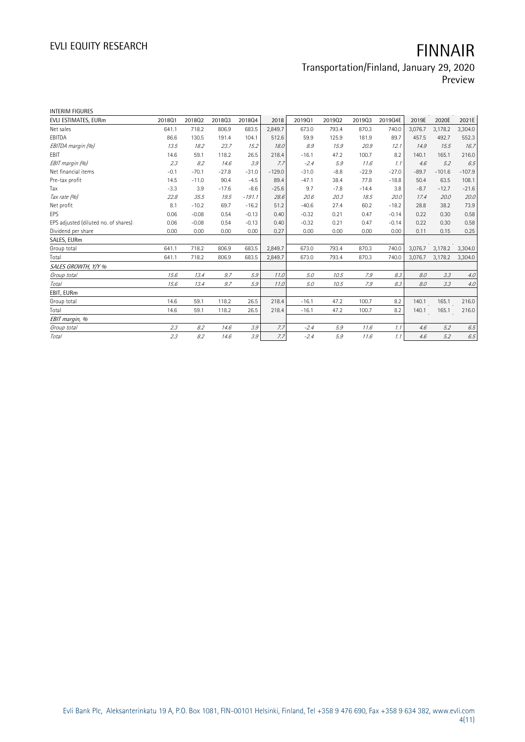# Transportation/Finland, January 29, 2020

Preview

| INTERIM FIGURES                      |        |         |         |          |          |         |        |         |         |         |          |          |
|--------------------------------------|--------|---------|---------|----------|----------|---------|--------|---------|---------|---------|----------|----------|
| EVLI ESTIMATES, EURm                 | 201801 | 201802  | 201803  | 201804   | 2018     | 201901  | 201902 | 201903  | 2019Q4E | 2019E   | 2020E    | 2021E    |
| Net sales                            | 641.1  | 718.2   | 806.9   | 683.5    | 2.849.7  | 673.0   | 793.4  | 870.3   | 740.0   | 3,076.7 | 3,178.2  | 3,304.0  |
| EBITDA                               | 86.6   | 130.5   | 191.4   | 104.1    | 512.6    | 59.9    | 125.9  | 181.9   | 89.7    | 457.5   | 492.7    | 552.3    |
| EBITDA margin (%)                    | 13.5   | 18.2    | 23.7    | 15.2     | 18.0     | 8.9     | 15.9   | 20.9    | 12.1    | 14.9    | 15.5     | 16.7     |
| EBIT                                 | 14.6   | 59.1    | 118.2   | 26.5     | 218.4    | $-16.1$ | 47.2   | 100.7   | 8.2     | 140.1   | 165.1    | 216.0    |
| EBIT margin (%)                      | 2.3    | 8.2     | 14.6    | 3.9      | 7.7      | $-2.4$  | 5.9    | 11.6    | 1.1     | 4.6     | 5.2      | 6.5      |
| Net financial items                  | $-0.1$ | $-70.1$ | $-27.8$ | $-31.0$  | $-129.0$ | $-31.0$ | $-8.8$ | $-22.9$ | $-27.0$ | $-89.7$ | $-101.6$ | $-107.9$ |
| Pre-tax profit                       | 14.5   | $-11.0$ | 90.4    | $-4.5$   | 89.4     | $-47.1$ | 38.4   | 77.8    | $-18.8$ | 50.4    | 63.5     | 108.1    |
| Tax                                  | $-3.3$ | 3.9     | $-17.6$ | $-8.6$   | $-25.6$  | 9.7     | $-7.8$ | $-14.4$ | 3.8     | $-8.7$  | $-12.7$  | $-21.6$  |
| Tax rate (%)                         | 22.8   | 35.5    | 19.5    | $-191.1$ | 28.6     | 20.6    | 20.3   | 18.5    | 20.0    | 17.4    | 20.0     | 20.0     |
| Net profit                           | 8.1    | $-10.2$ | 69.7    | $-16.2$  | 51.2     | $-40.6$ | 27.4   | 60.2    | $-18.2$ | 28.8    | 38.2     | 73.9     |
| EPS                                  | 0.06   | $-0.08$ | 0.54    | $-0.13$  | 0.40     | $-0.32$ | 0.21   | 0.47    | $-0.14$ | 0.22    | 0.30     | 0.58     |
| EPS adjusted (diluted no. of shares) | 0.06   | $-0.08$ | 0.54    | $-0.13$  | 0.40     | $-0.32$ | 0.21   | 0.47    | $-0.14$ | 0.22    | 0.30     | 0.58     |
| Dividend per share                   | 0.00   | 0.00    | 0.00    | 0.00     | 0.27     | 0.00    | 0.00   | 0.00    | 0.00    | 0.11    | 0.15     | 0.25     |
| SALES, EURm                          |        |         |         |          |          |         |        |         |         |         |          |          |
| Group total                          | 641.1  | 718.2   | 806.9   | 683.5    | 2,849.7  | 673.0   | 793.4  | 870.3   | 740.0   | 3,076.7 | 3,178.2  | 3,304.0  |
| Total                                | 641.1  | 718.2   | 806.9   | 683.5    | 2,849.7  | 673.0   | 793.4  | 870.3   | 740.0   | 3,076.7 | 3,178.2  | 3,304.0  |
| SALES GROWTH, Y/Y %                  |        |         |         |          |          |         |        |         |         |         |          |          |
| Group total                          | 15.6   | 13.4    | 9.7     | 5.9      | 11.0     | 5.0     | 10.5   | 7.9     | 8.3     | 8.0     | 3.3      | 4.0      |
| Total                                | 15.6   | 13.4    | 9.7     | 5.9      | 11.0     | 5.0     | 10.5   | 7.9     | 8.3     | 8.0     | 3.3      | $4.0$    |
| EBIT, EURm                           |        |         |         |          |          |         |        |         |         |         |          |          |
| Group total                          | 14.6   | 59.1    | 118.2   | 26.5     | 218.4    | $-16.1$ | 47.2   | 100.7   | 8.2     | 140.1   | 165.1    | 216.0    |
| Total                                | 14.6   | 59.1    | 118.2   | 26.5     | 218.4    | $-16.1$ | 47.2   | 100.7   | 8.2     | 140.1   | 165.1    | 216.0    |
| EBIT margin, %                       |        |         |         |          |          |         |        |         |         |         |          |          |
| Group total                          | 2.3    | 8.2     | 14.6    | 3.9      | 7.7      | $-2.4$  | 5.9    | 11.6    | 1.1     | 4.6     | 5.2      | 6.5      |
| Total                                | 2.3    | 8.2     | 14.6    | 3.9      | 7.7      | $-2.4$  | 5.9    | 11.6    | 1.1     | 4.6     | 5.2      | 6.5      |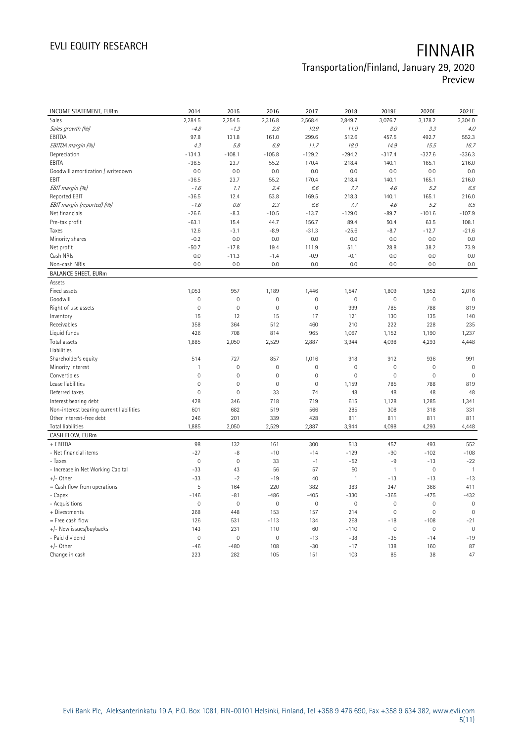# Transportation/Finland, January 29, 2020

Preview

| <b>INCOME STATEMENT, EURm</b>            | 2014         | 2015         | 2016           | 2017                | 2018           | 2019E               | 2020E        | 2021E                   |
|------------------------------------------|--------------|--------------|----------------|---------------------|----------------|---------------------|--------------|-------------------------|
| Sales                                    | 2,284.5      | 2,254.5      | 2,316.8        | 2,568.4             | 2,849.7        | 3,076.7             | 3,178.2      | 3,304.0                 |
| Sales growth (%)                         | $-4.8$       | $-1.3$       | 2.8            | 10.9                | 11.0           | 8.0                 | 3.3          | 4.0                     |
| EBITDA                                   | 97.8         | 131.8        | 161.0          | 299.6               | 512.6          | 457.5               | 492.7        | 552.3                   |
| EBITDA margin (%)                        | 4.3          | 5.8          | 6.9            | 11.7                | 18.0           | 14.9                | 15.5         | 16.7                    |
| Depreciation                             | $-134.3$     | $-108.1$     | $-105.8$       | $-129.2$            | $-294.2$       | $-317.4$            | $-327.6$     | $-336.3$                |
| EBITA                                    | $-36.5$      | 23.7         | 55.2           | 170.4               | 218.4          | 140.1               | 165.1        | 216.0                   |
| Goodwill amortization / writedown        | 0.0          | 0.0          | 0.0            | 0.0                 | 0.0            | 0.0                 | 0.0          | 0.0                     |
| EBIT                                     | $-36.5$      | 23.7         | 55.2           | 170.4               | 218.4          | 140.1               | 165.1        | 216.0                   |
| EBIT margin (%)                          | $-1.6$       | 1.1          | 2.4            | 6.6                 | 7.7            | 4.6                 | 5.2          | 6.5                     |
| Reported EBIT                            | $-36.5$      | 12.4         | 53.8           | 169.5               | 218.3          | 140.1               | 165.1        | 216.0                   |
| EBIT margin (reported) (%)               | $-1.6$       | 0.6          | 2.3            | 6.6                 | 7.7            | 4.6                 | 5.2          | 6.5                     |
| Net financials                           | $-26.6$      | $-8.3$       | $-10.5$        | $-13.7$             | $-129.0$       | $-89.7$             | $-101.6$     | $-107.9$                |
| Pre-tax profit                           | $-63.1$      | 15.4         | 44.7           | 156.7               | 89.4           | 50.4                | 63.5         | 108.1                   |
| Taxes                                    | 12.6         | $-3.1$       | $-8.9$         | $-31.3$             | $-25.6$        | $-8.7$              | $-12.7$      | $-21.6$                 |
| Minority shares                          | $-0.2$       | 0.0          | 0.0            | 0.0                 | 0.0            | 0.0                 | 0.0          | 0.0                     |
| Net profit                               | $-50.7$      | $-17.8$      | 19.4           | 111.9               | 51.1           | 28.8                | 38.2         | 73.9                    |
| Cash NRIs                                | 0.0          | $-11.3$      | $-1.4$         | $-0.9$              | $-0.1$         | 0.0                 | 0.0          | 0.0                     |
| Non-cash NRIs                            | 0.0          | 0.0          | 0.0            | 0.0                 | 0.0            | 0.0                 | 0.0          | 0.0                     |
| <b>BALANCE SHEET, EURm</b>               |              |              |                |                     |                |                     |              |                         |
| Assets                                   |              |              |                |                     |                |                     |              |                         |
| Fixed assets                             | 1,053        | 957          | 1,189          | 1,446               | 1,547          | 1,809               | 1,952        | 2,016                   |
| Goodwill                                 | $\mathbf 0$  | $\mathbf 0$  | $\mathbf 0$    | $\mathsf{O}\xspace$ | $\mathbf 0$    | $\mathbf 0$         | $\mathbf 0$  | $\mathbf 0$             |
| Right of use assets                      | $\mathbf{0}$ | $\mathbf{0}$ | $\overline{0}$ | $\mathbf 0$         | 999            | 785                 | 788          | 819                     |
| Inventory                                | 15           | 12           | 15             | 17                  | 121            | 130                 | 135          | 140                     |
| Receivables                              | 358          | 364          | 512            | 460                 | 210            | 222                 | 228          | 235                     |
| Liquid funds                             | 426          | 708          | 814            | 965                 | 1,067          | 1,152               | 1,190        | 1,237                   |
| Total assets                             | 1,885        | 2,050        | 2,529          | 2,887               | 3,944          | 4,098               | 4,293        | 4,448                   |
| Liabilities                              |              |              |                |                     |                |                     |              |                         |
| Shareholder's equity                     | 514          | 727          | 857            | 1,016               | 918            | 912                 | 936          | 991                     |
| Minority interest                        | $\mathbf{1}$ | $\mathbf 0$  | $\mathbf 0$    | $\mathbf 0$         | $\mathbf 0$    | $\mathbf 0$         | $\mathbf 0$  | $\overline{0}$          |
| Convertibles                             | $\mathbf 0$  | $\mathbf 0$  | $\mathbf 0$    | 0                   | $\mathbf 0$    | $\mathbf 0$         | $\mathbf 0$  | $\mathbf 0$             |
| Lease liabilities                        | $\mathbf 0$  | $\mathbf 0$  | $\mathbf 0$    | $\mathsf{O}\xspace$ | 1,159          | 785                 | 788          | 819                     |
| Deferred taxes                           | $\mathbf 0$  | $\mathbf{0}$ | 33             | 74                  | 48             | 48                  | 48           | 48                      |
| Interest bearing debt                    | 428          | 346          | 718            | 719                 | 615            | 1,128               | 1,285        | 1,341                   |
|                                          | 601          | 682          | 519            | 566                 | 285            | 308                 | 318          | 331                     |
| Non-interest bearing current liabilities |              |              | 339            |                     |                |                     |              | 811                     |
| Other interest-free debt                 | 246<br>1,885 | 201          |                | 428                 | 811<br>3,944   | 811                 | 811<br>4,293 |                         |
| Total liabilities<br>CASH FLOW, EURm     |              | 2,050        | 2,529          | 2,887               |                | 4,098               |              | 4,448                   |
| + EBITDA                                 |              |              |                |                     |                |                     |              |                         |
|                                          | 98<br>$-27$  | 132          | 161            | 300                 | 513<br>$-129$  | 457<br>$-90$        | 493          | 552<br>$-108$           |
| - Net financial items                    |              | $-8$         | $-10$          | $-14$               |                |                     | $-102$       |                         |
| - Taxes                                  | $\mathbf 0$  | $\mathbf 0$  | 33             | $-1$                | $-52$          | $-9$                | $-13$        | $-22$<br>$\overline{1}$ |
| - Increase in Net Working Capital        | $-33$        | 43           | 56             | 57                  | 50             | $\mathbf{1}$        | $\mathbf 0$  |                         |
| $+/-$ Other                              | $-33$        | $-2$         | $-19$          | 40                  | $\overline{1}$ | $-13$               | $-13$        | $-13$                   |
| = Cash flow from operations              | 5            | 164          | 220            | 382                 | 383            | 347                 | 366          | 411                     |
| - Capex                                  | $-146$       | $-81$        | $-486$         | $-405$              | $-330$         | $-365$              | $-475$       | $-432$                  |
| - Acquisitions                           | $\mathbf 0$  | $\mathbf 0$  | $\mathbf 0$    | $\mathsf{O}\xspace$ | $\mathbf 0$    | $\mathbf 0$         | $\mathbf 0$  | $\mathbf 0$             |
| + Divestments                            | 268          | 448          | 153            | 157                 | 214            | $\mathsf{O}\xspace$ | $\mathbf 0$  | $\overline{0}$          |
| = Free cash flow                         | 126          | 531          | $-113$         | 134                 | 268            | $-18$               | $-108$       | $-21$                   |
| +/- New issues/buybacks                  | 143          | 231          | 110            | 60                  | $-110$         | $\mathbf 0$         | $\mathbf 0$  | $\mathbf 0$             |
| - Paid dividend                          | $\mathbb O$  | $\mathbb O$  | $\mathbf 0$    | $-13$               | $-38$          | $-35$               | $-14$        | $-19$                   |
| $+/-$ Other                              | $-46$        | $-480$       | 108            | $-30$               | $-17$          | 138                 | 160          | 87                      |
| Change in cash                           | 223          | 282          | 105            | 151                 | 103            | 85                  | 38           | 47                      |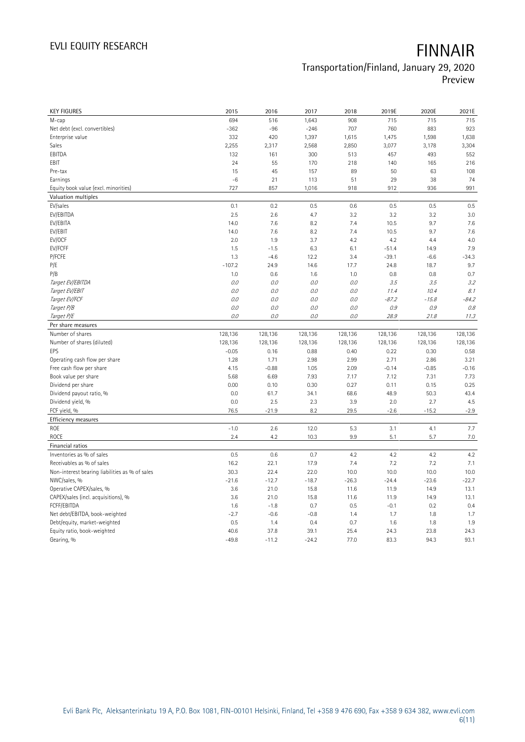## Transportation/Finland, January 29, 2020 Preview

| <b>KEY FIGURES</b>                             | 2015            | 2016            | 2017            | 2018         | 2019E        | 2020E        | 2021E        |
|------------------------------------------------|-----------------|-----------------|-----------------|--------------|--------------|--------------|--------------|
| M-cap                                          | 694             | 516             | 1,643           | 908          | 715          | 715          | 715          |
| Net debt (excl. convertibles)                  | $-362$          | $-96$           | $-246$          | 707          | 760          | 883          | 923          |
| Enterprise value                               | 332             | 420             | 1,397           | 1,615        | 1,475        | 1,598        | 1,638        |
| Sales                                          | 2,255           | 2,317           | 2,568           | 2,850        | 3,077        | 3,178        | 3,304        |
| EBITDA                                         | 132             | 161             | 300             | 513          | 457          | 493          | 552          |
| EBIT                                           | 24              | 55              | 170             | 218          | 140          | 165          | 216          |
| Pre-tax                                        | 15              | 45              | 157             | 89           | 50           | 63           | 108          |
| Earnings                                       | $-6$            | 21              | 113             | 51           | 29           | 38           | 74           |
| Equity book value (excl. minorities)           | 727             | 857             | 1,016           | 918          | 912          | 936          | 991          |
| Valuation multiples                            |                 |                 |                 |              |              |              |              |
| EV/sales                                       | 0.1             | 0.2             | 0.5             | 0.6          | 0.5          | 0.5          | 0.5          |
| EV/EBITDA                                      | 2.5             | 2.6             | 4.7             | 3.2          | 3.2          | 3.2          | 3.0          |
| EV/EBITA                                       | 14.0            | 7.6             | 8.2             | 7.4          | 10.5         | 9.7          | 7.6          |
| EV/EBIT                                        | 14.0            | 7.6             | 8.2             | 7.4          | 10.5         | 9.7          | 7.6          |
| EV/OCF                                         | 2.0             | 1.9             | 3.7             | 4.2          | 4.2          | 4.4          | 4.0          |
| EV/FCFF                                        | 1.5             | $-1.5$          | 6.3             | 6.1          | $-51.4$      | 14.9         | 7.9          |
| P/FCFE                                         | 1.3             | $-4.6$          | 12.2            | 3.4          | $-39.1$      | $-6.6$       | $-34.3$      |
| P/E                                            | $-107.2$        | 24.9            | 14.6            | 17.7         | 24.8         | 18.7         | 9.7          |
| P/B                                            | 1.0             | 0.6             | 1.6             | 1.0          | 0.8          | 0.8          | 0.7          |
| Target EV/EBITDA                               | $O.O$           | 0.0             | 0.0             | $O.O$        | 3.5          | 3.5          | 3.2          |
| Target EV/EBIT                                 | 0.0             | 0.0             | 0.0             | 0.0          | 11.4         | 10.4         | 8.1          |
| Target EV/FCF                                  | 0.0             | 0.0             | 0.0             | $O.O$        | $-87.2$      | $-15.8$      | $-84.2$      |
| Target P/B                                     | 0.0             | 0.0             | 0.0             | 0.0          | 0.9          | 0.9          | 0.8          |
| Target P/E                                     | 0.0             | 0.0             | 0.0             | $O.O$        | 28.9         | 21.8         | 11.3         |
| Per share measures                             |                 |                 |                 |              |              |              |              |
|                                                |                 |                 |                 |              |              |              |              |
|                                                |                 |                 |                 |              |              |              |              |
| Number of shares                               | 128,136         | 128,136         | 128,136         | 128,136      | 128,136      | 128,136      | 128,136      |
| Number of shares (diluted)                     | 128,136         | 128,136         | 128,136         | 128,136      | 128,136      | 128,136      | 128,136      |
| EPS                                            | $-0.05$         | 0.16            | 0.88            | 0.40         | 0.22         | 0.30         | 0.58         |
| Operating cash flow per share                  | 1.28            | 1.71            | 2.98            | 2.99         | 2.71         | 2.86         | 3.21         |
| Free cash flow per share                       | 4.15            | $-0.88$         | 1.05            | 2.09         | $-0.14$      | $-0.85$      | $-0.16$      |
| Book value per share                           | 5.68            | 6.69            | 7.93            | 7.17         | 7.12         | 7.31         | 7.73         |
| Dividend per share                             | 0.00            | 0.10            | 0.30            | 0.27         | 0.11         | 0.15         | 0.25         |
| Dividend payout ratio, %                       | 0.0             | 61.7            | 34.1            | 68.6         | 48.9         | 50.3         | 43.4         |
| Dividend yield, %                              | 0.0             | 2.5             | 2.3             | 3.9          | 2.0          | 2.7          | 4.5          |
| FCF yield, %                                   | 76.5            | $-21.9$         | 8.2             | 29.5         | $-2.6$       | $-15.2$      | $-2.9$       |
| Efficiency measures                            |                 |                 |                 |              |              |              |              |
| ROE                                            | $-1.0$          | 2.6             | 12.0            | 5.3          | 3.1          | 4.1          | 7.7          |
| <b>ROCE</b>                                    | 2.4             | 4.2             | 10.3            | 9.9          | 5.1          | 5.7          | 7.0          |
| Financial ratios                               |                 |                 |                 |              |              |              |              |
| Inventories as % of sales                      | 0.5             | 0.6             | 0.7             | 4.2          | 4.2          | 4.2          | 4.2          |
| Receivables as % of sales                      | 16.2            | 22.1            | 17.9            | 7.4          | 7.2          | 7.2          | 7.1          |
| Non-interest bearing liabilities as % of sales | 30.3            | 22.4            | 22.0            | 10.0         | 10.0         | 10.0         | 10.0         |
| NWC/sales, %                                   | $-21.6$         | $-12.7$         | $-18.7$         | $-26.3$      | $-24.4$      | $-23.6$      | $-22.7$      |
| Operative CAPEX/sales, %                       | 3.6             | 21.0            | 15.8            | 11.6         | 11.9         | 14.9         | 13.1         |
| CAPEX/sales (incl. acquisitions), %            | 3.6             | 21.0            | 15.8            | 11.6         | 11.9         | 14.9         | 13.1         |
| FCFF/EBITDA                                    | 1.6             | $-1.8$          | 0.7             | 0.5          | $-0.1$       | 0.2          | 0.4          |
| Net debt/EBITDA, book-weighted                 | $-2.7$          | $-0.6$          | $-0.8$          | 1.4          | 1.7          | 1.8          | 1.7          |
| Debt/equity, market-weighted                   | 0.5             | 1.4             | 0.4             | 0.7          | 1.6          | 1.8          | 1.9          |
| Equity ratio, book-weighted<br>Gearing, %      | 40.6<br>$-49.8$ | 37.8<br>$-11.2$ | 39.1<br>$-24.2$ | 25.4<br>77.0 | 24.3<br>83.3 | 23.8<br>94.3 | 24.3<br>93.1 |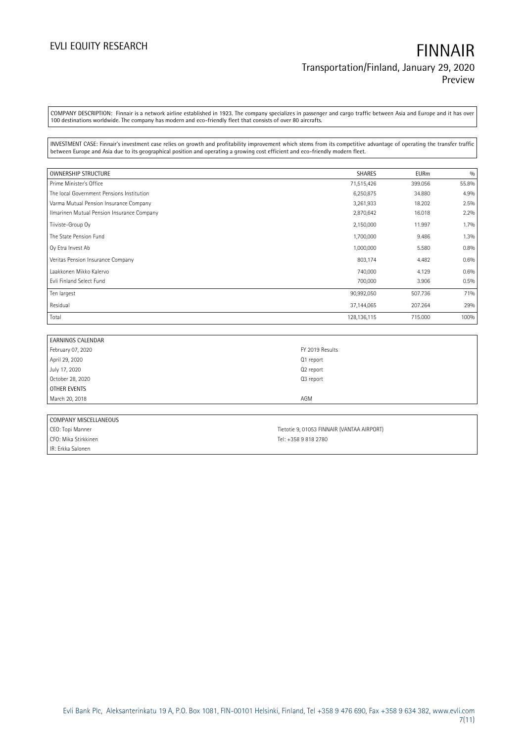COMPANY DESCRIPTION: Finnair is a network airline established in 1923. The company specializes in passenger and cargo traffic between Asia and Europe and it has over 100 destinations worldwide. The company has modern and eco-friendly fleet that consists of over 80 aircrafts.

INVESTMENT CASE: Finnair's investment case relies on growth and profitability improvement which stems from its competitive advantage of operating the transfer traffic between Europe and Asia due to its geographical position and operating a growing cost efficient and eco-friendly modern fleet.

| <b>OWNERSHIP STRUCTURE</b>                 | <b>SHARES</b> | <b>EURm</b> | 0/0   |
|--------------------------------------------|---------------|-------------|-------|
| Prime Minister's Office                    | 71,515,426    | 399.056     | 55.8% |
| The local Government Pensions Institution  | 6,250,875     | 34.880      | 4.9%  |
| Varma Mutual Pension Insurance Company     | 3,261,933     | 18.202      | 2.5%  |
| Ilmarinen Mutual Pension Insurance Company | 2,870,642     | 16.018      | 2.2%  |
| Tiiviste-Group Oy                          | 2,150,000     | 11.997      | 1.7%  |
| The State Pension Fund                     | 1,700,000     | 9.486       | 1.3%  |
| Oy Etra Invest Ab                          | 1,000,000     | 5.580       | 0.8%  |
| Veritas Pension Insurance Company          | 803,174       | 4.482       | 0.6%  |
| Laakkonen Mikko Kalervo                    | 740,000       | 4.129       | 0.6%  |
| Evli Finland Select Fund                   | 700,000       | 3.906       | 0.5%  |
| Ten largest                                | 90,992,050    | 507.736     | 71%   |
| Residual                                   | 37,144,065    | 207.264     | 29%   |
| Total                                      | 128, 136, 115 | 715.000     | 100%  |

| <b>EARNINGS CALENDAR</b> |                 |
|--------------------------|-----------------|
| February 07, 2020        | FY 2019 Results |
| April 29, 2020           | Q1 report       |
| July 17, 2020            | Q2 report       |
| October 28, 2020         | Q3 report       |
| OTHER EVENTS             |                 |
| March 20, 2018           | AGM             |
|                          |                 |

| COMPANY MISCELLANEOUS |                                            |
|-----------------------|--------------------------------------------|
| CEO: Topi Manner      | Tietotie 9, 01053 FINNAIR (VANTAA AIRPORT) |
| CFO: Mika Stirkkinen  | Tel: +358 9 818 2780                       |
| IR: Erkka Salonen     |                                            |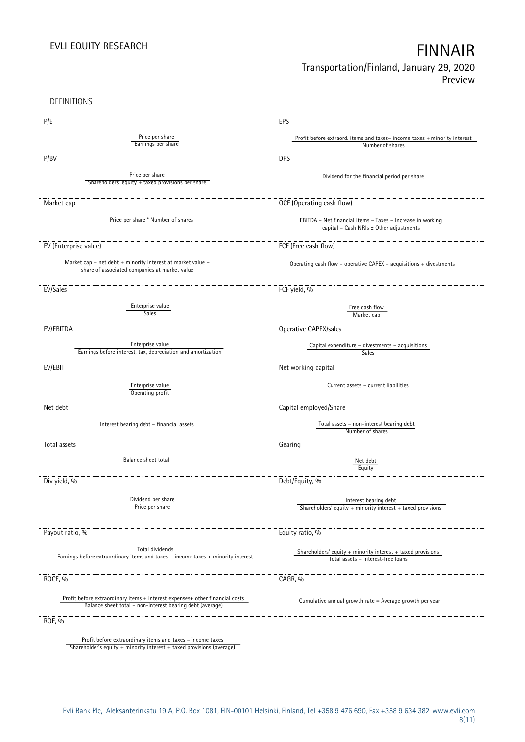DEFINITIONS

| P/E                                                                              | EPS                                                                                                   |
|----------------------------------------------------------------------------------|-------------------------------------------------------------------------------------------------------|
|                                                                                  |                                                                                                       |
| Price per share                                                                  | Profit before extraord. items and taxes-income taxes + minority interest                              |
| Earnings per share                                                               | Number of shares                                                                                      |
| P/BV                                                                             | <b>DPS</b>                                                                                            |
| Price per share                                                                  |                                                                                                       |
| Shareholders' equity + taxed provisions per share                                | Dividend for the financial period per share                                                           |
|                                                                                  |                                                                                                       |
|                                                                                  |                                                                                                       |
| Market cap                                                                       | OCF (Operating cash flow)                                                                             |
|                                                                                  |                                                                                                       |
| Price per share * Number of shares                                               | EBITDA - Net financial items - Taxes - Increase in working                                            |
|                                                                                  | capital - Cash NRIs ± Other adjustments                                                               |
|                                                                                  |                                                                                                       |
| EV (Enterprise value)                                                            | FCF (Free cash flow)                                                                                  |
|                                                                                  |                                                                                                       |
| Market cap + net debt + minority interest at market value -                      | Operating cash flow - operative CAPEX - acquisitions + divestments                                    |
| share of associated companies at market value                                    |                                                                                                       |
|                                                                                  |                                                                                                       |
| EV/Sales                                                                         | FCF yield, %                                                                                          |
|                                                                                  |                                                                                                       |
| Enterprise value                                                                 | Free cash flow                                                                                        |
| <b>Sales</b>                                                                     | Market cap                                                                                            |
|                                                                                  |                                                                                                       |
| EV/EBITDA                                                                        | Operative CAPEX/sales                                                                                 |
|                                                                                  |                                                                                                       |
| Enterprise value<br>Earnings before interest, tax, depreciation and amortization | Capital expenditure - divestments - acquisitions                                                      |
|                                                                                  | Sales                                                                                                 |
| EV/EBIT                                                                          | Net working capital                                                                                   |
|                                                                                  |                                                                                                       |
| Enterprise value                                                                 | Current assets - current liabilities                                                                  |
| Operating profit                                                                 |                                                                                                       |
|                                                                                  |                                                                                                       |
| Net debt                                                                         | Capital employed/Share                                                                                |
|                                                                                  |                                                                                                       |
| Interest bearing debt - financial assets                                         | Total assets - non-interest bearing debt                                                              |
|                                                                                  | Number of shares                                                                                      |
| Total assets                                                                     | Gearing                                                                                               |
|                                                                                  |                                                                                                       |
| Balance sheet total                                                              | Net debt                                                                                              |
|                                                                                  | Equity                                                                                                |
| Div yield, %                                                                     | Debt/Equity, %                                                                                        |
|                                                                                  |                                                                                                       |
|                                                                                  |                                                                                                       |
| Dividend per share<br>Price per share                                            | Interest bearing debt                                                                                 |
|                                                                                  | Shareholders' equity $+$ minority interest $+$ taxed provisions                                       |
|                                                                                  |                                                                                                       |
| Payout ratio, %                                                                  | Equity ratio, %                                                                                       |
|                                                                                  |                                                                                                       |
| Total dividends                                                                  |                                                                                                       |
| Earnings before extraordinary items and taxes - income taxes + minority interest | Shareholders' equity $+$ minority interest $+$ taxed provisions<br>Total assets - interest-free loans |
|                                                                                  |                                                                                                       |
|                                                                                  |                                                                                                       |
| ROCE, %                                                                          | CAGR, %                                                                                               |
|                                                                                  |                                                                                                       |
| Profit before extraordinary items + interest expenses+ other financial costs     | Cumulative annual growth rate = Average growth per year                                               |
| Balance sheet total - non-interest bearing debt (average)                        |                                                                                                       |
|                                                                                  |                                                                                                       |
| ROE, %                                                                           |                                                                                                       |
|                                                                                  |                                                                                                       |
| Profit before extraordinary items and taxes - income taxes                       |                                                                                                       |
| Shareholder's equity + minority interest + taxed provisions (average)            |                                                                                                       |
|                                                                                  |                                                                                                       |
|                                                                                  |                                                                                                       |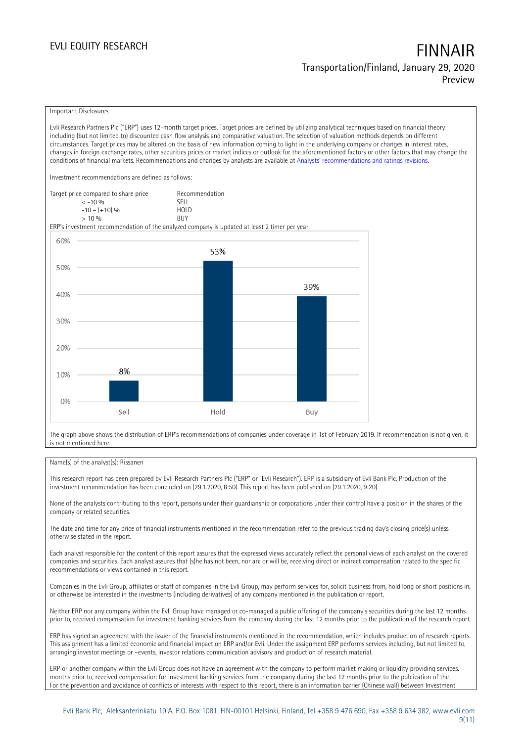### Important Disclosures

Evli Research Partners Plc ("ERP") uses 12-month target prices. Target prices are defined by utilizing analytical techniques based on financial theory including (but not limited to) discounted cash flow analysis and comparative valuation. The selection of valuation methods depends on different circumstances. Target prices may be altered on the basis of new information coming to light in the underlying company or changes in interest rates, changes in foreign exchange rates, other securities prices or market indices or outlook for the aforementioned factors or other factors that may change the conditions of financial markets. Recommendations and changes by analysts are available at Analysts' r[ecommendations and ratings revisions.](https://research.evli.com/JasperAllModels.action?authParam=key;461&authParam=x;G3rNagWrtf7K&authType=3)

Investment recommendations are defined as follows:

| Target price compared to share price | Recommendation                |
|--------------------------------------|-------------------------------|
| $<-10.96$                            | <b>SELL</b>                   |
| $-10 - (+10)$ %                      | H <sub>O</sub> I <sub>D</sub> |
| $> 10\%$                             | <b>BUY</b>                    |

ERP's investment recommendation of the analyzed company is updated at least 2 timer per year.



The graph above shows the distribution of ERP's recommendations of companies under coverage in 1st of February 2019. If recommendation is not given, it is not mentioned here.

### Name(s) of the analyst(s): Rissanen

This research report has been prepared by Evli Research Partners Plc ("ERP" or "Evli Research"). ERP is a subsidiary of Evli Bank Plc. Production of the investment recommendation has been concluded on [29.1.2020, 8:50]. This report has been published on [29.1.2020, 9:20].

None of the analysts contributing to this report, persons under their guardianship or corporations under their control have a position in the shares of the company or related securities.

The date and time for any price of financial instruments mentioned in the recommendation refer to the previous trading day's closing price(s) unless otherwise stated in the report.

Each analyst responsible for the content of this report assures that the expressed views accurately reflect the personal views of each analyst on the covered companies and securities. Each analyst assures that (s)he has not been, nor are or will be, receiving direct or indirect compensation related to the specific recommendations or views contained in this report.

Companies in the Evli Group, affiliates or staff of companies in the Evli Group, may perform services for, solicit business from, hold long or short positions in, or otherwise be interested in the investments (including derivatives) of any company mentioned in the publication or report.

Neither ERP nor any company within the Evli Group have managed or co-managed a public offering of the company's securities during the last 12 months prior to, received compensation for investment banking services from the company during the last 12 months prior to the publication of the research report.

ERP has signed an agreement with the issuer of the financial instruments mentioned in the recommendation, which includes production of research reports. This assignment has a limited economic and financial impact on ERP and/or Evli. Under the assignment ERP performs services including, but not limited to, arranging investor meetings or –events, investor relations communication advisory and production of research material.

ERP or another company within the Evli Group does not have an agreement with the company to perform market making or liquidity providing services. months prior to, received compensation for investment banking services from the company during the last 12 months prior to the publication of the. For the prevention and avoidance of conflicts of interests with respect to this report, there is an information barrier (Chinese wall) between Investment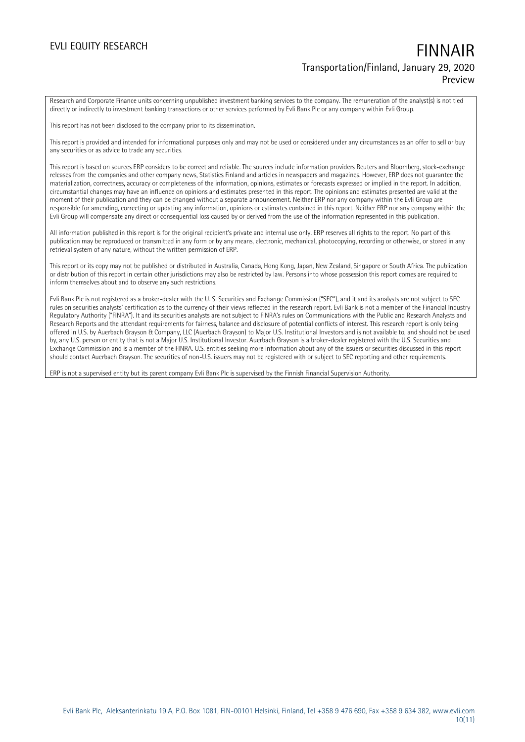Research and Corporate Finance units concerning unpublished investment banking services to the company. The remuneration of the analyst(s) is not tied directly or indirectly to investment banking transactions or other services performed by Evli Bank Plc or any company within Evli Group.

This report has not been disclosed to the company prior to its dissemination.

This report is provided and intended for informational purposes only and may not be used or considered under any circumstances as an offer to sell or buy any securities or as advice to trade any securities.

This report is based on sources ERP considers to be correct and reliable. The sources include information providers Reuters and Bloomberg, stock-exchange releases from the companies and other company news, Statistics Finland and articles in newspapers and magazines. However, ERP does not guarantee the materialization, correctness, accuracy or completeness of the information, opinions, estimates or forecasts expressed or implied in the report. In addition, circumstantial changes may have an influence on opinions and estimates presented in this report. The opinions and estimates presented are valid at the moment of their publication and they can be changed without a separate announcement. Neither ERP nor any company within the Evli Group are responsible for amending, correcting or updating any information, opinions or estimates contained in this report. Neither ERP nor any company within the Evli Group will compensate any direct or consequential loss caused by or derived from the use of the information represented in this publication.

All information published in this report is for the original recipient's private and internal use only. ERP reserves all rights to the report. No part of this publication may be reproduced or transmitted in any form or by any means, electronic, mechanical, photocopying, recording or otherwise, or stored in any retrieval system of any nature, without the written permission of ERP.

This report or its copy may not be published or distributed in Australia, Canada, Hong Kong, Japan, New Zealand, Singapore or South Africa. The publication or distribution of this report in certain other jurisdictions may also be restricted by law. Persons into whose possession this report comes are required to inform themselves about and to observe any such restrictions.

Evli Bank Plc is not registered as a broker-dealer with the U. S. Securities and Exchange Commission ("SEC"), and it and its analysts are not subject to SEC rules on securities analysts' certification as to the currency of their views reflected in the research report. Evli Bank is not a member of the Financial Industry Regulatory Authority ("FINRA"). It and its securities analysts are not subject to FINRA's rules on Communications with the Public and Research Analysts and Research Reports and the attendant requirements for fairness, balance and disclosure of potential conflicts of interest. This research report is only being offered in U.S. by Auerbach Grayson & Company, LLC (Auerbach Grayson) to Major U.S. Institutional Investors and is not available to, and should not be used by, any U.S. person or entity that is not a Major U.S. Institutional Investor. Auerbach Grayson is a broker-dealer registered with the U.S. Securities and Exchange Commission and is a member of the FINRA. U.S. entities seeking more information about any of the issuers or securities discussed in this report should contact Auerbach Grayson. The securities of non-U.S. issuers may not be registered with or subject to SEC reporting and other requirements.

ERP is not a supervised entity but its parent company Evli Bank Plc is supervised by the Finnish Financial Supervision Authority.